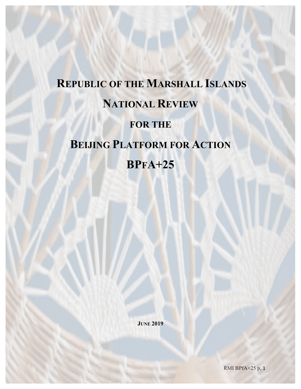# **REPUBLIC OF THE MARSHALL ISLANDS NATIONAL REVIEW FOR THE BEIJING PLATFORM FOR ACTION BPFA+25**

**JUNE 2019**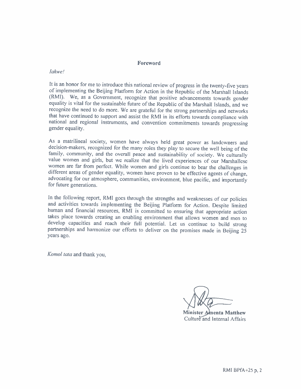#### Foreword

#### **Iakwe!**

It is an honor for me to introduce this national review of progress in the twenty-five years of implementing the Beijing Platform for Action in the Republic of the Marshall Islands (RMI). We, as a Government, recognize that positive advancements towards gender equality is vital for the sustainable future of the Republic of the Marshall Islands, and we recognize the need to do more. We are grateful for the strong partnerships and networks that have continued to support and assist the RMI in its efforts towards compliance with national and regional instruments, and convention commitments towards progressing gender equality.

As a matrilineal society, women have always held great power as landowners and decision-makers, recognized for the many roles they play to secure the well being of the family, community, and the overall peace and sustainability of society. We culturally value women and girls, but we realize that the lived experiences of our Marshallese women are far from perfect. While women and girls continue to bear the challenges in different areas of gender equality, women have proven to be effective agents of change, advocating for our atmosphere, communities, environment, blue pacific, and importantly for future generations.

In the following report, RMI goes through the strengths and weaknesses of our policies and activities towards implementing the Beijing Platform for Action. Despite limited human and financial resources, RMI is committed to ensuring that appropriate action takes place towards creating an enabling environment that allows women and men to develop capacities and reach their full potential. Let us continue to build strong partnerships and harmonize our efforts to deliver on the promises made in Beijing 25 years ago.

Komol tata and thank you,

Minister Amenta Matthew Culture and Internal Affairs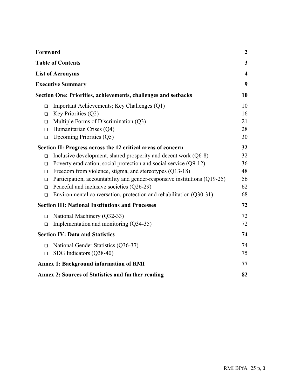| Foreword                                                                                   |                                                                           | $\boldsymbol{2}$        |
|--------------------------------------------------------------------------------------------|---------------------------------------------------------------------------|-------------------------|
|                                                                                            | <b>Table of Contents</b>                                                  | $\mathbf{3}$            |
|                                                                                            | <b>List of Acronyms</b>                                                   | $\overline{\mathbf{4}}$ |
| <b>Executive Summary</b><br>Section One: Priorities, achievements, challenges and setbacks |                                                                           | 9                       |
|                                                                                            |                                                                           | 10                      |
| $\Box$                                                                                     | Important Achievements; Key Challenges (Q1)                               | 10                      |
| $\Box$                                                                                     | Key Priorities (Q2)                                                       | 16                      |
| $\Box$                                                                                     | Multiple Forms of Discrimination (Q3)                                     | 21                      |
| $\Box$                                                                                     | Humanitarian Crises (Q4)                                                  | 28                      |
| $\Box$                                                                                     | Upcoming Priorities $(Q5)$                                                | 30                      |
| Section II: Progress across the 12 critical areas of concern                               |                                                                           | 32                      |
| $\Box$                                                                                     | Inclusive development, shared prosperity and decent work $(Q6-8)$         | 32                      |
| $\Box$                                                                                     | Poverty eradication, social protection and social service (Q9-12)         | 36                      |
| П                                                                                          | Freedom from violence, stigma, and stereotypes (Q13-18)                   | 48                      |
| $\Box$                                                                                     | Participation, accountability and gender-responsive institutions (Q19-25) | 56                      |
| ◻                                                                                          | Peaceful and inclusive societies (Q26-29)                                 | 62                      |
| $\Box$                                                                                     | Environmental conversation, protection and rehabilitation (Q30-31)        | 68                      |
|                                                                                            | <b>Section III: National Institutions and Processes</b>                   | 72                      |
| $\Box$                                                                                     | National Machinery (Q32-33)                                               | 72                      |
| □                                                                                          | Implementation and monitoring (Q34-35)                                    | 72                      |
|                                                                                            | <b>Section IV: Data and Statistics</b>                                    | 74                      |
| П                                                                                          | National Gender Statistics (Q36-37)                                       | 74                      |
| $\Box$                                                                                     | SDG Indicators (Q38-40)                                                   | 75                      |
|                                                                                            | <b>Annex 1: Background information of RMI</b>                             | 77                      |
| <b>Annex 2: Sources of Statistics and further reading</b><br>82                            |                                                                           |                         |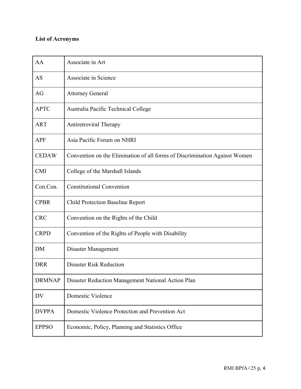# **List of Acronyms**

| AA            | Associate in Art                                                           |
|---------------|----------------------------------------------------------------------------|
| AS            | Associate in Science                                                       |
| AG            | <b>Attorney General</b>                                                    |
| <b>APTC</b>   | Australia Pacific Technical College                                        |
| <b>ART</b>    | <b>Antiretroviral Therapy</b>                                              |
| <b>APF</b>    | Asia Pacific Forum on NHRI                                                 |
| <b>CEDAW</b>  | Convention on the Elimination of all forms of Discrimination Against Women |
| <b>CMI</b>    | College of the Marshall Islands                                            |
| Con.Con.      | <b>Constitutional Convention</b>                                           |
| <b>CPBR</b>   | <b>Child Protection Baseline Report</b>                                    |
| <b>CRC</b>    | Convention on the Rights of the Child                                      |
| <b>CRPD</b>   | Convention of the Rights of People with Disability                         |
| <b>DM</b>     | Disaster Management                                                        |
| <b>DRR</b>    | <b>Disaster Risk Reduction</b>                                             |
| <b>DRMNAP</b> | Disaster Reduction Management National Action Plan                         |
| DV            | Domestic Violence                                                          |
| <b>DVPPA</b>  | Domestic Violence Protection and Prevention Act                            |
| <b>EPPSO</b>  | Economic, Policy, Planning and Statistics Office                           |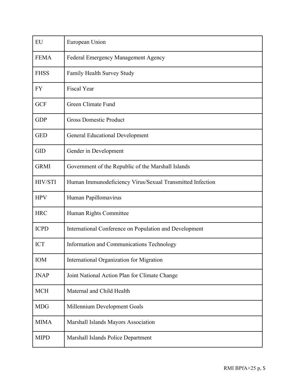| EU          | European Union                                            |
|-------------|-----------------------------------------------------------|
| <b>FEMA</b> | Federal Emergency Management Agency                       |
| <b>FHSS</b> | Family Health Survey Study                                |
| FY          | <b>Fiscal Year</b>                                        |
| <b>GCF</b>  | Green Climate Fund                                        |
| <b>GDP</b>  | <b>Gross Domestic Product</b>                             |
| <b>GED</b>  | <b>General Educational Development</b>                    |
| <b>GID</b>  | Gender in Development                                     |
| <b>GRMI</b> | Government of the Republic of the Marshall Islands        |
| HIV/STI     | Human Immunodeficiency Virus/Sexual Transmitted Infection |
| <b>HPV</b>  | Human Papillomavirus                                      |
| <b>HRC</b>  | Human Rights Committee                                    |
| <b>ICPD</b> | International Conference on Population and Development    |
| <b>ICT</b>  | Information and Communications Technology                 |
| <b>IOM</b>  | International Organization for Migration                  |
| <b>JNAP</b> | Joint National Action Plan for Climate Change             |
| <b>MCH</b>  | Maternal and Child Health                                 |
| <b>MDG</b>  | Millennium Development Goals                              |
| <b>MIMA</b> | Marshall Islands Mayors Association                       |
| <b>MIPD</b> | Marshall Islands Police Department                        |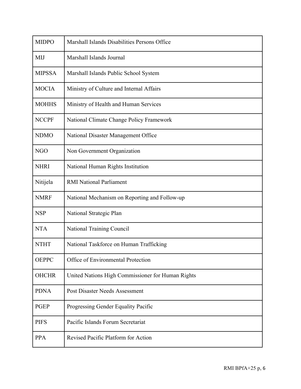| <b>MIDPO</b>  | Marshall Islands Disabilities Persons Office      |
|---------------|---------------------------------------------------|
| MIJ           | Marshall Islands Journal                          |
| <b>MIPSSA</b> | Marshall Islands Public School System             |
| <b>MOCIA</b>  | Ministry of Culture and Internal Affairs          |
| <b>MOHHS</b>  | Ministry of Health and Human Services             |
| <b>NCCPF</b>  | National Climate Change Policy Framework          |
| <b>NDMO</b>   | National Disaster Management Office               |
| <b>NGO</b>    | Non Government Organization                       |
| <b>NHRI</b>   | National Human Rights Institution                 |
| Nitijela      | <b>RMI National Parliament</b>                    |
| <b>NMRF</b>   | National Mechanism on Reporting and Follow-up     |
| <b>NSP</b>    | National Strategic Plan                           |
| <b>NTA</b>    | National Training Council                         |
| <b>NTHT</b>   | National Taskforce on Human Trafficking           |
| <b>OEPPC</b>  | Office of Environmental Protection                |
| <b>OHCHR</b>  | United Nations High Commissioner for Human Rights |
| <b>PDNA</b>   | Post Disaster Needs Assessment                    |
| <b>PGEP</b>   | Progressing Gender Equality Pacific               |
| <b>PIFS</b>   | Pacific Islands Forum Secretariat                 |
| <b>PPA</b>    | Revised Pacific Platform for Action               |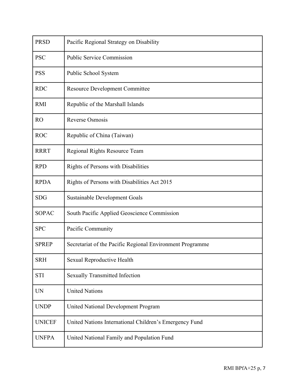| <b>PRSD</b>    | Pacific Regional Strategy on Disability                   |
|----------------|-----------------------------------------------------------|
| <b>PSC</b>     | <b>Public Service Commission</b>                          |
| <b>PSS</b>     | Public School System                                      |
| <b>RDC</b>     | <b>Resource Development Committee</b>                     |
| <b>RMI</b>     | Republic of the Marshall Islands                          |
| R <sub>O</sub> | Reverse Osmosis                                           |
| <b>ROC</b>     | Republic of China (Taiwan)                                |
| <b>RRRT</b>    | Regional Rights Resource Team                             |
| <b>RPD</b>     | <b>Rights of Persons with Disabilities</b>                |
| <b>RPDA</b>    | Rights of Persons with Disabilities Act 2015              |
| <b>SDG</b>     | <b>Sustainable Development Goals</b>                      |
| <b>SOPAC</b>   | South Pacific Applied Geoscience Commission               |
| <b>SPC</b>     | Pacific Community                                         |
| <b>SPREP</b>   | Secretariat of the Pacific Regional Environment Programme |
| <b>SRH</b>     | Sexual Reproductive Health                                |
| <b>STI</b>     | <b>Sexually Transmitted Infection</b>                     |
| <b>UN</b>      | <b>United Nations</b>                                     |
| <b>UNDP</b>    | <b>United National Development Program</b>                |
| <b>UNICEF</b>  | United Nations International Children's Emergency Fund    |
| <b>UNFPA</b>   | United National Family and Population Fund                |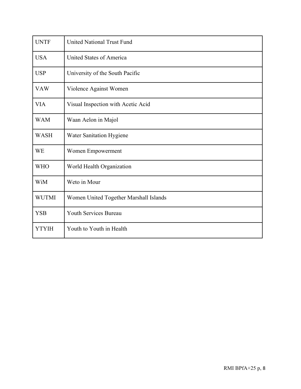| <b>UNTF</b>  | <b>United National Trust Fund</b>      |
|--------------|----------------------------------------|
| <b>USA</b>   | United States of America               |
| <b>USP</b>   | University of the South Pacific        |
| <b>VAW</b>   | Violence Against Women                 |
| <b>VIA</b>   | Visual Inspection with Acetic Acid     |
| <b>WAM</b>   | Waan Aelon in Majol                    |
| <b>WASH</b>  | Water Sanitation Hygiene               |
| <b>WE</b>    | Women Empowerment                      |
| <b>WHO</b>   | World Health Organization              |
| WiM          | Weto in Mour                           |
| <b>WUTMI</b> | Women United Together Marshall Islands |
| <b>YSB</b>   | Youth Services Bureau                  |
| <b>YTYIH</b> | Youth to Youth in Health               |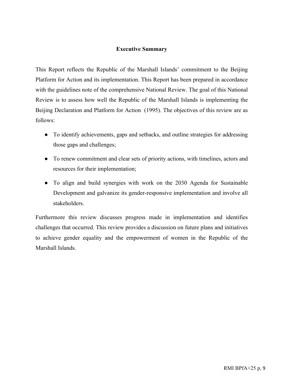## **Executive Summary**

This Report reflects the Republic of the Marshall Islands' commitment to the Beijing Platform for Action and its implementation. This Report has been prepared in accordance with the guidelines note of the comprehensive National Review. The goal of this National Review is to assess how well the Republic of the Marshall Islands is implementing the Beijing Declaration and Platform for Action (1995). The objectives of this review are as follows:

- To identify achievements, gaps and setbacks, and outline strategies for addressing those gaps and challenges;
- To renew commitment and clear sets of priority actions, with timelines, actors and resources for their implementation;
- To align and build synergies with work on the 2030 Agenda for Sustainable Development and galvanize its gender-responsive implementation and involve all stakeholders.

Furthermore this review discusses progress made in implementation and identifies challenges that occurred. This review provides a discussion on future plans and initiatives to achieve gender equality and the empowerment of women in the Republic of the Marshall Islands.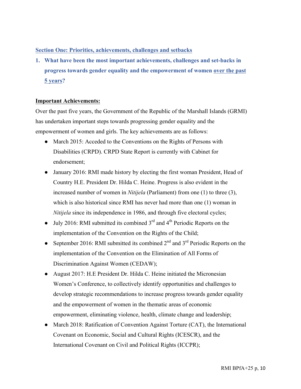## **Section One: Priorities, achievements, challenges and setbacks**

**1. What have been the most important achievements, challenges and set-backs in progress towards gender equality and the empowerment of women over the past 5 years?** 

## **Important Achievements:**

Over the past five years, the Government of the Republic of the Marshall Islands (GRMI) has undertaken important steps towards progressing gender equality and the empowerment of women and girls. The key achievements are as follows:

- March 2015: Acceded to the Conventions on the Rights of Persons with Disabilities (CRPD). CRPD State Report is currently with Cabinet for endorsement;
- January 2016: RMI made history by electing the first woman President, Head of Country H.E. President Dr. Hilda C. Heine. Progress is also evident in the increased number of women in *Nitijela* (Parliament) from one (1) to three (3), which is also historical since RMI has never had more than one (1) woman in *Nitijela* since its independence in 1986, and through five electoral cycles;
- July 2016: RMI submitted its combined  $3<sup>rd</sup>$  and  $4<sup>th</sup>$  Periodic Reports on the implementation of the Convention on the Rights of the Child;
- September 2016: RMI submitted its combined  $2<sup>nd</sup>$  and  $3<sup>rd</sup>$  Periodic Reports on the implementation of the Convention on the Elimination of All Forms of Discrimination Against Women (CEDAW);
- August 2017: H.E President Dr. Hilda C. Heine initiated the Micronesian Women's Conference, to collectively identify opportunities and challenges to develop strategic recommendations to increase progress towards gender equality and the empowerment of women in the thematic areas of economic empowerment, eliminating violence, health, climate change and leadership;
- March 2018: Ratification of Convention Against Torture (CAT), the International Covenant on Economic, Social and Cultural Rights (ICESCR), and the International Covenant on Civil and Political Rights (ICCPR);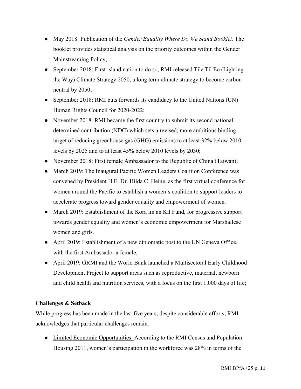- May 2018: Publication of the *Gender Equality Where Do We Stand Booklet.* The booklet provides statistical analysis on the priority outcomes within the Gender Mainstreaming Policy;
- September 2018: First island nation to do so, RMI released Tile Til Eo (Lighting the Way) Climate Strategy 2050, a long term climate strategy to become carbon neutral by 2050;
- September 2018: RMI puts forwards its candidacy to the United Nations (UN) Human Rights Council for 2020-2022;
- November 2018: RMI became the first country to submit its second national determined contribution (NDC) which sets a revised, more ambitious binding target of reducing greenhouse gas (GHG) emissions to at least 32% below 2010 levels by 2025 and to at least 45% below 2010 levels by 2030;
- November 2018: First female Ambassador to the Republic of China (Taiwan);
- March 2019: The Inaugural Pacific Women Leaders Coalition Conference was convened by President H.E. Dr. Hilda C. Heine, as the first virtual conference for women around the Pacific to establish a women's coalition to support leaders to accelerate progress toward gender equality and empowerment of women.
- March 2019: Establishment of the Kora im an Kil Fund, for progressive support towards gender equality and women's economic empowerment for Marshallese women and girls.
- April 2019: Establishment of a new diplomatic post to the UN Geneva Office, with the first Ambassador a female;
- April 2019: GRMI and the World Bank launched a Multisectoral Early Childhood Development Project to support areas such as reproductive, maternal, newborn and child health and nutrition services, with a focus on the first 1,000 days of life;

## **Challenges & Setback**

While progress has been made in the last five years, despite considerable efforts, RMI acknowledges that particular challenges remain.

● Limited Economic Opportunities: According to the RMI Census and Population Housing 2011, women's participation in the workforce was 28% in terms of the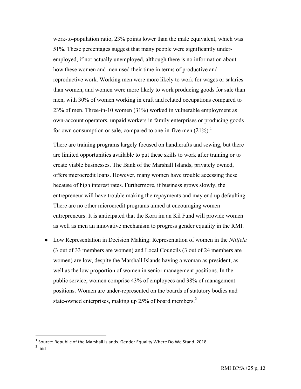work-to-population ratio, 23% points lower than the male equivalent, which was 51%. These percentages suggest that many people were significantly underemployed, if not actually unemployed, although there is no information about how these women and men used their time in terms of productive and reproductive work. Working men were more likely to work for wages or salaries than women, and women were more likely to work producing goods for sale than men, with 30% of women working in craft and related occupations compared to 23% of men. Three-in-10 women (31%) worked in vulnerable employment as own-account operators, unpaid workers in family enterprises or producing goods for own consumption or sale, compared to one-in-five men  $(21\%)$ .<sup>1</sup>

There are training programs largely focused on handicrafts and sewing, but there are limited opportunities available to put these skills to work after training or to create viable businesses. The Bank of the Marshall Islands, privately owned, offers microcredit loans. However, many women have trouble accessing these because of high interest rates. Furthermore, if business grows slowly, the entrepreneur will have trouble making the repayments and may end up defaulting. There are no other microcredit programs aimed at encouraging women entrepreneurs. It is anticipated that the Kora im an Kil Fund will provide women as well as men an innovative mechanism to progress gender equality in the RMI.

● Low Representation in Decision Making: Representation of women in the *Nitijela* (3 out of 33 members are women) and Local Councils (3 out of 24 members are women) are low, despite the Marshall Islands having a woman as president, as well as the low proportion of women in senior management positions. In the public service, women comprise 43% of employees and 38% of management positions. Women are under-represented on the boards of statutory bodies and state-owned enterprises, making up  $25\%$  of board members.<sup>2</sup>

 

 $<sup>1</sup>$  Source: Republic of the Marshall Islands. Gender Equality Where Do We Stand. 2018</sup>

 $2$  Ibid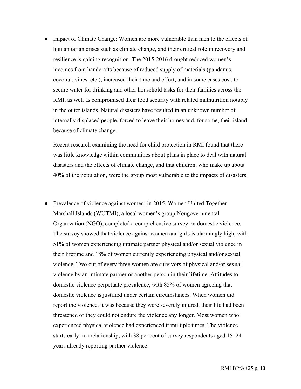• Impact of Climate Change: Women are more vulnerable than men to the effects of humanitarian crises such as climate change, and their critical role in recovery and resilience is gaining recognition. The 2015-2016 drought reduced women's incomes from handcrafts because of reduced supply of materials (pandanus, coconut, vines, etc.), increased their time and effort, and in some cases cost, to secure water for drinking and other household tasks for their families across the RMI, as well as compromised their food security with related malnutrition notably in the outer islands. Natural disasters have resulted in an unknown number of internally displaced people, forced to leave their homes and, for some, their island because of climate change.

Recent research examining the need for child protection in RMI found that there was little knowledge within communities about plans in place to deal with natural disasters and the effects of climate change, and that children, who make up about 40% of the population, were the group most vulnerable to the impacts of disasters.

• Prevalence of violence against women: in 2015, Women United Together Marshall Islands (WUTMI), a local women's group Nongovernmental Organization (NGO), completed a comprehensive survey on domestic violence. The survey showed that violence against women and girls is alarmingly high, with 51% of women experiencing intimate partner physical and/or sexual violence in their lifetime and 18% of women currently experiencing physical and/or sexual violence. Two out of every three women are survivors of physical and/or sexual violence by an intimate partner or another person in their lifetime. Attitudes to domestic violence perpetuate prevalence, with 85% of women agreeing that domestic violence is justified under certain circumstances. When women did report the violence, it was because they were severely injured, their life had been threatened or they could not endure the violence any longer. Most women who experienced physical violence had experienced it multiple times. The violence starts early in a relationship, with 38 per cent of survey respondents aged 15–24 years already reporting partner violence.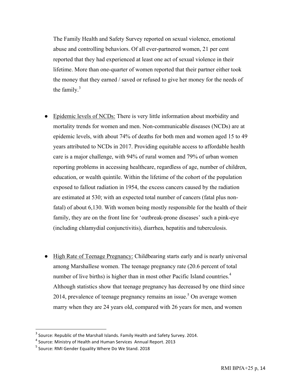The Family Health and Safety Survey reported on sexual violence, emotional abuse and controlling behaviors. Of all ever-partnered women, 21 per cent reported that they had experienced at least one act of sexual violence in their lifetime. More than one-quarter of women reported that their partner either took the money that they earned / saved or refused to give her money for the needs of the family. $3$ 

- Epidemic levels of NCDs: There is very little information about morbidity and mortality trends for women and men. Non-communicable diseases (NCDs) are at epidemic levels, with about 74% of deaths for both men and women aged 15 to 49 years attributed to NCDs in 2017. Providing equitable access to affordable health care is a major challenge, with 94% of rural women and 79% of urban women reporting problems in accessing healthcare, regardless of age, number of children, education, or wealth quintile. Within the lifetime of the cohort of the population exposed to fallout radiation in 1954, the excess cancers caused by the radiation are estimated at 530; with an expected total number of cancers (fatal plus nonfatal) of about 6,130. With women being mostly responsible for the health of their family, they are on the front line for 'outbreak-prone diseases' such a pink-eye (including chlamydial conjunctivitis), diarrhea, hepatitis and tuberculosis.
- High Rate of Teenage Pregnancy: Childbearing starts early and is nearly universal among Marshallese women. The teenage pregnancy rate (20.6 percent of total number of live births) is higher than in most other Pacific Island countries.<sup>4</sup> Although statistics show that teenage pregnancy has decreased by one third since 2014, prevalence of teenage pregnancy remains an issue.<sup>5</sup> On average women marry when they are 24 years old, compared with 26 years for men, and women

 

 $3$  Source: Republic of the Marshall Islands. Family Health and Safety Survey. 2014.

 $4$  Source: Ministry of Health and Human Services Annual Report. 2013

 $5$  Source: RMI Gender Equality Where Do We Stand. 2018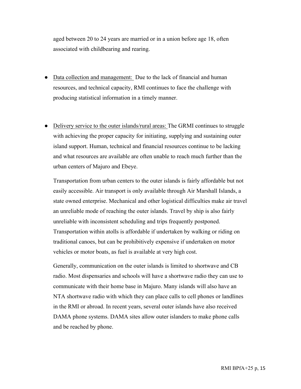aged between 20 to 24 years are married or in a union before age 18, often associated with childbearing and rearing.

- Data collection and management: Due to the lack of financial and human resources, and technical capacity, RMI continues to face the challenge with producing statistical information in a timely manner.
- Delivery service to the outer islands/rural areas: The GRMI continues to struggle with achieving the proper capacity for initiating, supplying and sustaining outer island support. Human, technical and financial resources continue to be lacking and what resources are available are often unable to reach much further than the urban centers of Majuro and Ebeye.

Transportation from urban centers to the outer islands is fairly affordable but not easily accessible. Air transport is only available through Air Marshall Islands, a state owned enterprise. Mechanical and other logistical difficulties make air travel an unreliable mode of reaching the outer islands. Travel by ship is also fairly unreliable with inconsistent scheduling and trips frequently postponed. Transportation within atolls is affordable if undertaken by walking or riding on traditional canoes, but can be prohibitively expensive if undertaken on motor vehicles or motor boats, as fuel is available at very high cost.

Generally, communication on the outer islands is limited to shortwave and CB radio. Most dispensaries and schools will have a shortwave radio they can use to communicate with their home base in Majuro. Many islands will also have an NTA shortwave radio with which they can place calls to cell phones or landlines in the RMI or abroad. In recent years, several outer islands have also received DAMA phone systems. DAMA sites allow outer islanders to make phone calls and be reached by phone.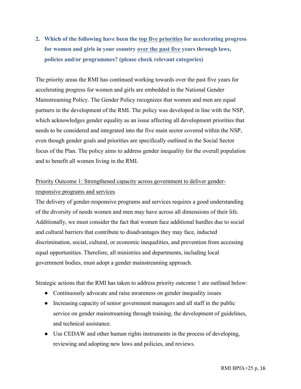# **2. Which of the following have been the top five priorities for accelerating progress for women and girls in your country over the past five years through laws, policies and/or programmes? (please check relevant categories)**

The priority areas the RMI has continued working towards over the past five years for accelerating progress for women and girls are embedded in the National Gender Mainstreaming Policy. The Gender Policy recognizes that women and men are equal partners in the development of the RMI. The policy was developed in line with the NSP, which acknowledges gender equality as an issue affecting all development priorities that needs to be considered and integrated into the five main sector covered within the NSP, even though gender goals and priorities are specifically outlined in the Social Sector focus of the Plan. The policy aims to address gender inequality for the overall population and to benefit all women living in the RMI.

# Priority Outcome 1: Strengthened capacity across government to deliver genderresponsive programs and services

The delivery of gender-responsive programs and services requires a good understanding of the diversity of needs women and men may have across all dimensions of their life. Additionally, we must consider the fact that women face additional hurdles due to social and cultural barriers that contribute to disadvantages they may face, inducted discrimination, social, cultural, or economic inequalities, and prevention from accessing equal opportunities. Therefore, all ministries and departments, including local government bodies, must adopt a gender mainstreaming approach.

Strategic actions that the RMI has taken to address priority outcome 1 are outlined below:

- Continuously advocate and raise awareness on gender inequality issues
- Increasing capacity of senior government managers and all staff in the public service on gender mainstreaming through training, the development of guidelines, and technical assistance.
- Use CEDAW and other human rights instruments in the process of developing, reviewing and adopting new laws and policies, and reviews.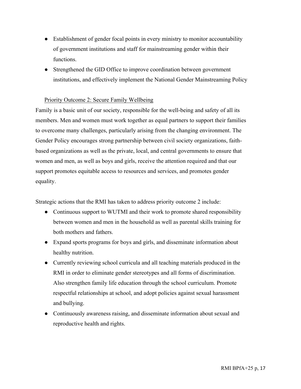- Establishment of gender focal points in every ministry to monitor accountability of government institutions and staff for mainstreaming gender within their functions.
- Strengthened the GID Office to improve coordination between government institutions, and effectively implement the National Gender Mainstreaming Policy

## Priority Outcome 2: Secure Family Wellbeing

Family is a basic unit of our society, responsible for the well-being and safety of all its members. Men and women must work together as equal partners to support their families to overcome many challenges, particularly arising from the changing environment. The Gender Policy encourages strong partnership between civil society organizations, faithbased organizations as well as the private, local, and central governments to ensure that women and men, as well as boys and girls, receive the attention required and that our support promotes equitable access to resources and services, and promotes gender equality.

Strategic actions that the RMI has taken to address priority outcome 2 include:

- Continuous support to WUTMI and their work to promote shared responsibility between women and men in the household as well as parental skills training for both mothers and fathers.
- Expand sports programs for boys and girls, and disseminate information about healthy nutrition.
- Currently reviewing school curricula and all teaching materials produced in the RMI in order to eliminate gender stereotypes and all forms of discrimination. Also strengthen family life education through the school curriculum. Promote respectful relationships at school, and adopt policies against sexual harassment and bullying.
- Continuously awareness raising, and disseminate information about sexual and reproductive health and rights.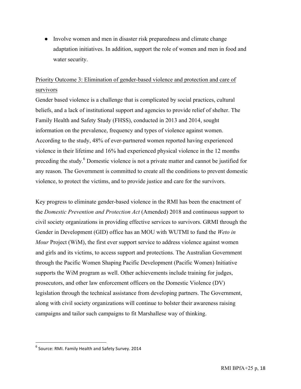● Involve women and men in disaster risk preparedness and climate change adaptation initiatives. In addition, support the role of women and men in food and water security.

# Priority Outcome 3: Elimination of gender-based violence and protection and care of survivors

Gender based violence is a challenge that is complicated by social practices, cultural beliefs, and a lack of institutional support and agencies to provide relief of shelter. The Family Health and Safety Study (FHSS), conducted in 2013 and 2014, sought information on the prevalence, frequency and types of violence against women. According to the study, 48% of ever-partnered women reported having experienced violence in their lifetime and 16% had experienced physical violence in the 12 months preceding the study.<sup>6</sup> Domestic violence is not a private matter and cannot be justified for any reason. The Government is committed to create all the conditions to prevent domestic violence, to protect the victims, and to provide justice and care for the survivors.

Key progress to eliminate gender-based violence in the RMI has been the enactment of the *Domestic Prevention and Protection Act* (Amended) 2018 and continuous support to civil society organizations in providing effective services to survivors. GRMI through the Gender in Development (GID) office has an MOU with WUTMI to fund the *Weto in Mour* Project (WiM), the first ever support service to address violence against women and girls and its victims, to access support and protections. The Australian Government through the Pacific Women Shaping Pacific Development (Pacific Women) Initiative supports the WiM program as well. Other achievements include training for judges, prosecutors, and other law enforcement officers on the Domestic Violence (DV) legislation through the technical assistance from developing partners. The Government, along with civil society organizations will continue to bolster their awareness raising campaigns and tailor such campaigns to fit Marshallese way of thinking.

 

 $6$  Source: RMI. Family Health and Safety Survey. 2014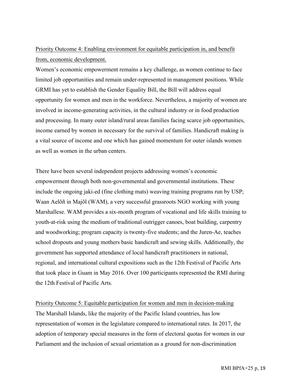# Priority Outcome 4: Enabling environment for equitable participation in, and benefit from, economic development.

Women's economic empowerment remains a key challenge, as women continue to face limited job opportunities and remain under-represented in management positions. While GRMI has yet to establish the Gender Equality Bill, the Bill will address equal opportunity for women and men in the workforce. Nevertheless, a majority of women are involved in income-generating activities, in the cultural industry or in food production and processing. In many outer island/rural areas families facing scarce job opportunities, income earned by women in necessary for the survival of families. Handicraft making is a vital source of income and one which has gained momentum for outer islands women as well as women in the urban centers.

There have been several independent projects addressing women's economic empowerment through both non-governmental and governmental institutions. These include the ongoing jaki-ed (fine clothing mats) weaving training programs run by USP; Waan Aelõñ in Majõl (WAM), a very successful grassroots NGO working with young Marshallese. WAM provides a six-month program of vocational and life skills training to youth-at-risk using the medium of traditional outrigger canoes, boat building, carpentry and woodworking; program capacity is twenty-five students; and the Juren-Ae, teaches school dropouts and young mothers basic handicraft and sewing skills. Additionally, the government has supported attendance of local handicraft practitioners in national, regional, and international cultural expositions such as the 12th Festival of Pacific Arts that took place in Guam in May 2016. Over 100 participants represented the RMI during the 12th Festival of Pacific Arts.

Priority Outcome 5: Equitable participation for women and men in decision-making The Marshall Islands, like the majority of the Pacific Island countries, has low representation of women in the legislature compared to international rates. In 2017, the adoption of temporary special measures in the form of electoral quotas for women in our Parliament and the inclusion of sexual orientation as a ground for non-discrimination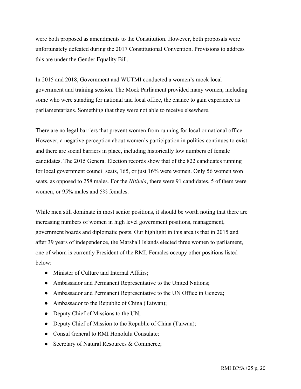were both proposed as amendments to the Constitution. However, both proposals were unfortunately defeated during the 2017 Constitutional Convention. Provisions to address this are under the Gender Equality Bill.

In 2015 and 2018, Government and WUTMI conducted a women's mock local government and training session. The Mock Parliament provided many women, including some who were standing for national and local office, the chance to gain experience as parliamentarians. Something that they were not able to receive elsewhere.

There are no legal barriers that prevent women from running for local or national office. However, a negative perception about women's participation in politics continues to exist and there are social barriers in place, including historically low numbers of female candidates. The 2015 General Election records show that of the 822 candidates running for local government council seats, 165, or just 16% were women. Only 56 women won seats, as opposed to 258 males. For the *Nitijela*, there were 91 candidates, 5 of them were women, or 95% males and 5% females.

While men still dominate in most senior positions, it should be worth noting that there are increasing numbers of women in high level government positions, management, government boards and diplomatic posts. Our highlight in this area is that in 2015 and after 39 years of independence, the Marshall Islands elected three women to parliament, one of whom is currently President of the RMI. Females occupy other positions listed below:

- Minister of Culture and Internal Affairs;
- Ambassador and Permanent Representative to the United Nations;
- Ambassador and Permanent Representative to the UN Office in Geneva;
- Ambassador to the Republic of China (Taiwan);
- Deputy Chief of Missions to the UN;
- Deputy Chief of Mission to the Republic of China (Taiwan);
- Consul General to RMI Honolulu Consulate;
- Secretary of Natural Resources & Commerce;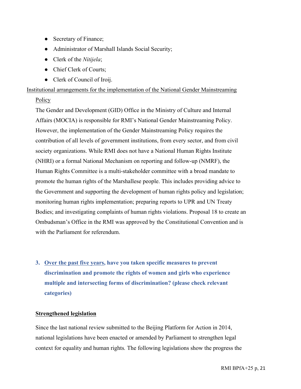- Secretary of Finance;
- Administrator of Marshall Islands Social Security;
- Clerk of the *Nitijela*;
- Chief Clerk of Courts;
- Clerk of Council of Iroij.

Institutional arrangements for the implementation of the National Gender Mainstreaming

## **Policy**

The Gender and Development (GID) Office in the Ministry of Culture and Internal Affairs (MOCIA) is responsible for RMI's National Gender Mainstreaming Policy. However, the implementation of the Gender Mainstreaming Policy requires the contribution of all levels of government institutions, from every sector, and from civil society organizations. While RMI does not have a National Human Rights Institute (NHRI) or a formal National Mechanism on reporting and follow-up (NMRF), the Human Rights Committee is a multi-stakeholder committee with a broad mandate to promote the human rights of the Marshallese people. This includes providing advice to the Government and supporting the development of human rights policy and legislation; monitoring human rights implementation; preparing reports to UPR and UN Treaty Bodies; and investigating complaints of human rights violations. Proposal 18 to create an Ombudsman's Office in the RMI was approved by the Constitutional Convention and is with the Parliament for referendum.

**3. Over the past five years, have you taken specific measures to prevent discrimination and promote the rights of women and girls who experience multiple and intersecting forms of discrimination? (please check relevant categories)**

## **Strengthened legislation**

Since the last national review submitted to the Beijing Platform for Action in 2014, national legislations have been enacted or amended by Parliament to strengthen legal context for equality and human rights*.* The following legislations show the progress the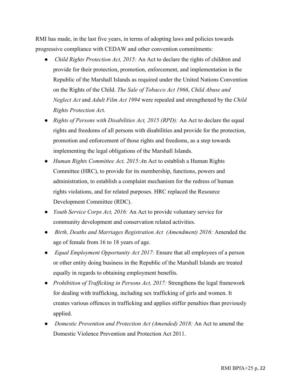RMI has made, in the last five years, in terms of adopting laws and policies towards progressive compliance with CEDAW and other convention commitments:

- *Child Rights Protection Act, 2015:* An Act to declare the rights of children and provide for their protection, promotion, enforcement, and implementation in the Republic of the Marshall Islands as required under the United Nations Convention on the Rights of the Child. *The Sale of Tobacco Act 1966*, *Child Abuse and Neglect Act* and *Adult Film Act 1994* were repealed and strengthened by the *Child Rights Protection Ac*t.
- *Rights of Persons with Disabilities Act, 2015 (RPD):* An Act to declare the equal rights and freedoms of all persons with disabilities and provide for the protection, promotion and enforcement of those rights and freedoms, as a step towards implementing the legal obligations of the Marshall Islands.
- *Human Rights Committee Act, 2015:A*n Act to establish a Human Rights Committee (HRC), to provide for its membership, functions, powers and administration, to establish a complaint mechanism for the redress of human rights violations, and for related purposes. HRC replaced the Resource Development Committee (RDC).
- *Youth Service Corps Act, 2016:* An Act to provide voluntary service for community development and conservation related activities.
- *Birth, Deaths and Marriages Registration Act (Amendment) 2016:* Amended the age of female from 16 to 18 years of age.
- *Equal Employment Opportunity Act 2017:* Ensure that all employees of a person or other entity doing business in the Republic of the Marshall Islands are treated equally in regards to obtaining employment benefits.
- *Prohibition of Trafficking in Persons Act, 2017:* Strengthens the legal framework for dealing with trafficking, including sex trafficking of girls and women. It creates various offences in trafficking and applies stiffer penalties than previously applied.
- *Domestic Prevention and Protection Act (Amended) 2018:* An Act to amend the Domestic Violence Prevention and Protection Act 2011.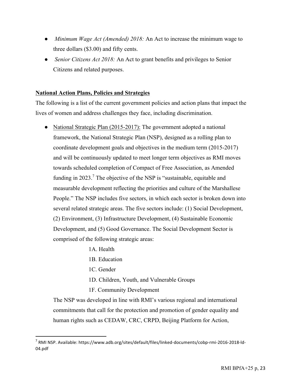- *Minimum Wage Act (Amended) 2018:* An Act to increase the minimum wage to three dollars (\$3.00) and fifty cents.
- *Senior Citizens Act 2018:* An Act to grant benefits and privileges to Senior Citizens and related purposes.

## **National Action Plans, Policies and Strategies**

The following is a list of the current government policies and action plans that impact the lives of women and address challenges they face, including discrimination.

- National Strategic Plan (2015-2017): The government adopted a national framework, the National Strategic Plan (NSP), designed as a rolling plan to coordinate development goals and objectives in the medium term (2015-2017) and will be continuously updated to meet longer term objectives as RMI moves towards scheduled completion of Compact of Free Association, as Amended funding in  $2023$ .<sup>7</sup> The objective of the NSP is "sustainable, equitable and measurable development reflecting the priorities and culture of the Marshallese People." The NSP includes five sectors, in which each sector is broken down into several related strategic areas. The five sectors include: (1) Social Development, (2) Environment, (3) Infrastructure Development, (4) Sustainable Economic Development, and (5) Good Governance. The Social Development Sector is comprised of the following strategic areas:
	- 1A. Health
	- 1B. Education
	- 1C. Gender

 

- 1D. Children, Youth, and Vulnerable Groups
- 1F. Community Development

The NSP was developed in line with RMI's various regional and international commitments that call for the protection and promotion of gender equality and human rights such as CEDAW, CRC, CRPD, Beijing Platform for Action,

 $^7$  RMI NSP. Available: https://www.adb.org/sites/default/files/linked-documents/cobp-rmi-2016-2018-ld-04.pdf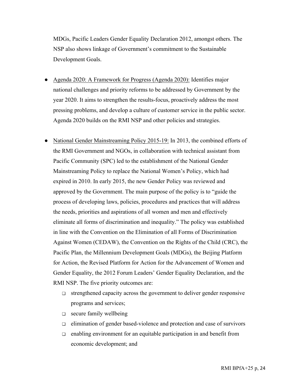MDGs, Pacific Leaders Gender Equality Declaration 2012, amongst others. The NSP also shows linkage of Government's commitment to the Sustainable Development Goals.

- Agenda 2020: A Framework for Progress (Agenda 2020): Identifies major national challenges and priority reforms to be addressed by Government by the year 2020. It aims to strengthen the results-focus, proactively address the most pressing problems, and develop a culture of customer service in the public sector. Agenda 2020 builds on the RMI NSP and other policies and strategies.
- National Gender Mainstreaming Policy 2015-19: In 2013, the combined efforts of the RMI Government and NGOs, in collaboration with technical assistant from Pacific Community (SPC) led to the establishment of the National Gender Mainstreaming Policy to replace the National Women's Policy, which had expired in 2010. In early 2015, the new Gender Policy was reviewed and approved by the Government. The main purpose of the policy is to "guide the process of developing laws, policies, procedures and practices that will address the needs, priorities and aspirations of all women and men and effectively eliminate all forms of discrimination and inequality." The policy was established in line with the Convention on the Elimination of all Forms of Discrimination Against Women (CEDAW), the Convention on the Rights of the Child (CRC), the Pacific Plan, the Millennium Development Goals (MDGs), the Beijing Platform for Action, the Revised Platform for Action for the Advancement of Women and Gender Equality, the 2012 Forum Leaders' Gender Equality Declaration, and the RMI NSP. The five priority outcomes are:
	- ❏ strengthened capacity across the government to deliver gender responsive programs and services;
	- ❏ secure family wellbeing
	- ❏ elimination of gender based-violence and protection and case of survivors
	- ❏ enabling environment for an equitable participation in and benefit from economic development; and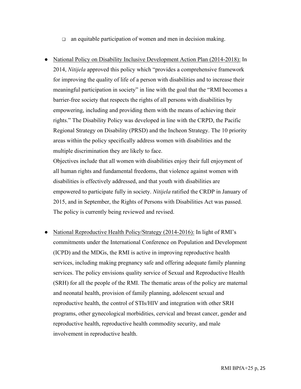- ❏ an equitable participation of women and men in decision making.
- National Policy on Disability Inclusive Development Action Plan (2014-2018): In 2014, *Nitijela* approved this policy which "provides a comprehensive framework for improving the quality of life of a person with disabilities and to increase their meaningful participation in society" in line with the goal that the "RMI becomes a barrier-free society that respects the rights of all persons with disabilities by empowering, including and providing them with the means of achieving their rights." The Disability Policy was developed in line with the CRPD, the Pacific Regional Strategy on Disability (PRSD) and the Incheon Strategy. The 10 priority areas within the policy specifically address women with disabilities and the multiple discrimination they are likely to face.

Objectives include that all women with disabilities enjoy their full enjoyment of all human rights and fundamental freedoms, that violence against women with disabilities is effectively addressed, and that youth with disabilities are empowered to participate fully in society. *Nitijela* ratified the CRDP in January of 2015, and in September, the Rights of Persons with Disabilities Act was passed. The policy is currently being reviewed and revised.

• National Reproductive Health Policy/Strategy (2014-2016): In light of RMI's commitments under the International Conference on Population and Development (ICPD) and the MDGs, the RMI is active in improving reproductive health services, including making pregnancy safe and offering adequate family planning services. The policy envisions quality service of Sexual and Reproductive Health (SRH) for all the people of the RMI. The thematic areas of the policy are maternal and neonatal health, provision of family planning, adolescent sexual and reproductive health, the control of STIs/HIV and integration with other SRH programs, other gynecological morbidities, cervical and breast cancer, gender and reproductive health, reproductive health commodity security, and male involvement in reproductive health.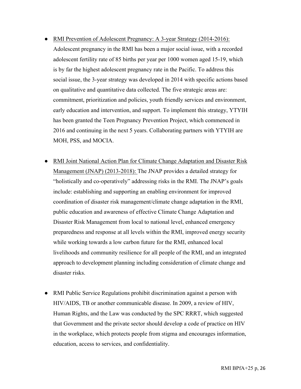- RMI Prevention of Adolescent Pregnancy: A 3-year Strategy (2014-2016): Adolescent pregnancy in the RMI has been a major social issue, with a recorded adolescent fertility rate of 85 births per year per 1000 women aged 15-19, which is by far the highest adolescent pregnancy rate in the Pacific. To address this social issue, the 3-year strategy was developed in 2014 with specific actions based on qualitative and quantitative data collected. The five strategic areas are: commitment, prioritization and policies, youth friendly services and environment, early education and intervention, and support. To implement this strategy, YTYIH has been granted the Teen Pregnancy Prevention Project, which commenced in 2016 and continuing in the next 5 years. Collaborating partners with YTYIH are MOH, PSS, and MOCIA.
- **RMI Joint National Action Plan for Climate Change Adaptation and Disaster Risk** Management (JNAP) (2013-2018): The JNAP provides a detailed strategy for "holistically and co-operatively" addressing risks in the RMI. The JNAP's goals include: establishing and supporting an enabling environment for improved coordination of disaster risk management/climate change adaptation in the RMI, public education and awareness of effective Climate Change Adaptation and Disaster Risk Management from local to national level, enhanced emergency preparedness and response at all levels within the RMI, improved energy security while working towards a low carbon future for the RMI, enhanced local livelihoods and community resilience for all people of the RMI, and an integrated approach to development planning including consideration of climate change and disaster risks.
- RMI Public Service Regulations prohibit discrimination against a person with HIV/AIDS, TB or another communicable disease. In 2009, a review of HIV, Human Rights, and the Law was conducted by the SPC RRRT, which suggested that Government and the private sector should develop a code of practice on HIV in the workplace, which protects people from stigma and encourages information, education, access to services, and confidentiality.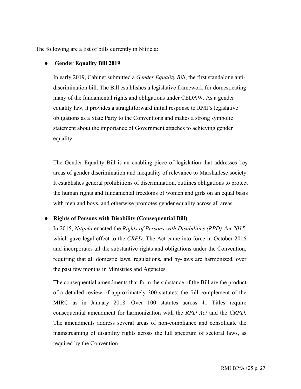The following are a list of bills currently in Nitijela:

## ● **Gender Equality Bill 2019**

In early 2019, Cabinet submitted a *Gender Equality Bill*, the first standalone antidiscrimination bill. The Bill establishes a legislative framework for domesticating many of the fundamental rights and obligations under CEDAW. As a gender equality law, it provides a straightforward initial response to RMI's legislative obligations as a State Party to the Conventions and makes a strong symbolic statement about the importance of Government attaches to achieving gender equality.

The Gender Equality Bill is an enabling piece of legislation that addresses key areas of gender discrimination and inequality of relevance to Marshallese society. It establishes general prohibitions of discrimination, outlines obligations to protect the human rights and fundamental freedoms of women and girls on an equal basis with men and boys, and otherwise promotes gender equality across all areas.

## ● **Rights of Persons with Disability (Consequential Bill)**

In 2015, *Nitijela* enacted the *Rights of Persons with Disabilities (RPD) Act 2015*, which gave legal effect to the *CRPD*. The Act came into force in October 2016 and incorporates all the substantive rights and obligations under the Convention, requiring that all domestic laws, regulations, and by-laws are harmonized, over the past few months in Ministries and Agencies.

The consequential amendments that form the substance of the Bill are the product of a detailed review of approximately 300 statutes: the full complement of the MIRC as in January 2018. Over 100 statutes across 41 Titles require consequential amendment for harmonization with the *RPD Act* and the *CRPD*. The amendments address several areas of non-compliance and consolidate the mainstreaming of disability rights across the full spectrum of sectoral laws, as required by the Convention.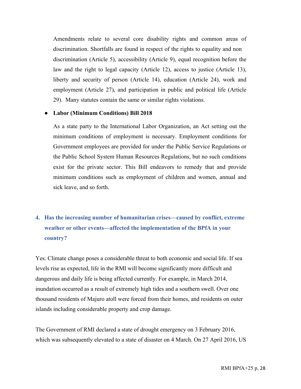Amendments relate to several core disability rights and common areas of discrimination. Shortfalls are found in respect of the rights to equality and non discrimination (Article 5), accessibility (Article 9), equal recognition before the law and the right to legal capacity (Article 12), access to justice (Article 13), liberty and security of person (Article 14), education (Article 24), work and employment (Article 27), and participation in public and political life (Article 29). Many statutes contain the same or similar rights violations.

#### ● **Labor (Minimum Conditions) Bill 2018**

As a state party to the International Labor Organization, an Act setting out the minimum conditions of employment is necessary. Employment conditions for Government employees are provided for under the Public Service Regulations or the Public School System Human Resources Regulations, but no such conditions exist for the private sector. This Bill endeavors to remedy that and provide minimum conditions such as employment of children and women, annual and sick leave, and so forth.

# **4. Has the increasing number of humanitarian crises—caused by conflict, extreme weather or other events—affected the implementation of the BPfA in your country?**

Yes. Climate change poses a considerable threat to both economic and social life. If sea levels rise as expected, life in the RMI will become significantly more difficult and dangerous and daily life is being affected currently. For example, in March 2014, inundation occurred as a result of extremely high tides and a southern swell. Over one thousand residents of Majuro atoll were forced from their homes, and residents on outer islands including considerable property and crop damage.

The Government of RMI declared a state of drought emergency on 3 February 2016, which was subsequently elevated to a state of disaster on 4 March. On 27 April 2016, US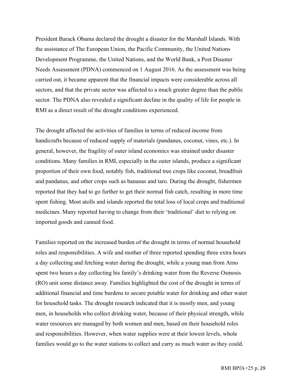President Barack Obama declared the drought a disaster for the Marshall Islands. With the assistance of The European Union, the Pacific Community, the United Nations Development Programme, the United Nations, and the World Bank, a Post Disaster Needs Assessment (PDNA) commenced on 1 August 2016. As the assessment was being carried out, it became apparent that the financial impacts were considerable across all sectors, and that the private sector was affected to a much greater degree than the public sector. The PDNA also revealed a significant decline in the quality of life for people in RMI as a direct result of the drought conditions experienced.

The drought affected the activities of families in terms of reduced income from handicrafts because of reduced supply of materials (pandanus, coconut, vines, etc.). In general, however, the fragility of outer island economics was strained under disaster conditions. Many families in RMI, especially in the outer islands, produce a significant proportion of their own food, notably fish, traditional tree crops like coconut, breadfruit and pandanus, and other crops such as bananas and taro. During the drought, fishermen reported that they had to go further to get their normal fish catch, resulting in more time spent fishing. Most atolls and islands reported the total loss of local crops and traditional medicines. Many reported having to change from their 'traditional' diet to relying on imported goods and canned food.

Families reported on the increased burden of the drought in terms of normal household roles and responsibilities. A wife and mother of three reported spending three extra hours a day collecting and fetching water during the drought, while a young man from Arno spent two hours a day collecting his family's drinking water from the Reverse Osmosis (RO) unit some distance away. Families highlighted the cost of the drought in terms of additional financial and time burdens to secure potable water for drinking and other water for household tasks. The drought research indicated that it is mostly men, and young men, in households who collect drinking water, because of their physical strength, while water resources are managed by both women and men, based on their household roles and responsibilities. However, when water supplies were at their lowest levels, whole families would go to the water stations to collect and carry as much water as they could.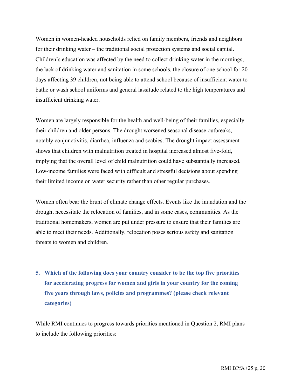Women in women-headed households relied on family members, friends and neighbors for their drinking water – the traditional social protection systems and social capital. Children's education was affected by the need to collect drinking water in the mornings, the lack of drinking water and sanitation in some schools, the closure of one school for 20 days affecting 39 children, not being able to attend school because of insufficient water to bathe or wash school uniforms and general lassitude related to the high temperatures and insufficient drinking water.

Women are largely responsible for the health and well-being of their families, especially their children and older persons. The drought worsened seasonal disease outbreaks, notably conjunctivitis, diarrhea, influenza and scabies. The drought impact assessment shows that children with malnutrition treated in hospital increased almost five-fold, implying that the overall level of child malnutrition could have substantially increased. Low-income families were faced with difficult and stressful decisions about spending their limited income on water security rather than other regular purchases.

Women often bear the brunt of climate change effects. Events like the inundation and the drought necessitate the relocation of families, and in some cases, communities. As the traditional homemakers, women are put under pressure to ensure that their families are able to meet their needs. Additionally, relocation poses serious safety and sanitation threats to women and children.

**5. Which of the following does your country consider to be the top five priorities for accelerating progress for women and girls in your country for the coming five years through laws, policies and programmes? (please check relevant categories)**

While RMI continues to progress towards priorities mentioned in Question 2, RMI plans to include the following priorities: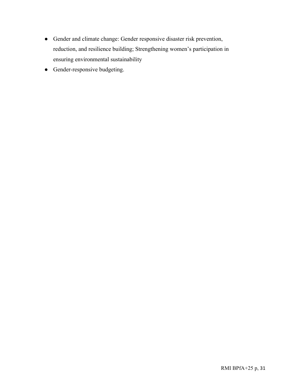- Gender and climate change: Gender responsive disaster risk prevention, reduction, and resilience building; Strengthening women's participation in ensuring environmental sustainability
- Gender-responsive budgeting.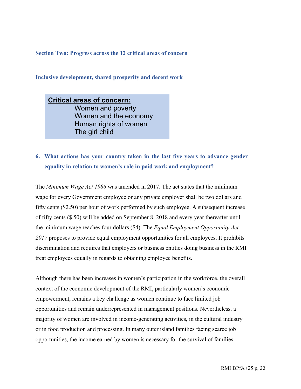**Section Two: Progress across the 12 critical areas of concern**

**Inclusive development, shared prosperity and decent work** 

**Critical areas of concern:** Women and poverty Women and the economy Human rights of women The girl child

## **6. What actions has your country taken in the last five years to advance gender equality in relation to women's role in paid work and employment?**

The *Minimum Wage Act 1986* was amended in 2017. The act states that the minimum wage for every Government employee or any private employer shall be two dollars and fifty cents (\$2.50) per hour of work performed by such employee. A subsequent increase of fifty cents (\$.50) will be added on September 8, 2018 and every year thereafter until the minimum wage reaches four dollars (\$4). The *Equal Employment Opportunity Act 2017* proposes to provide equal employment opportunities for all employees. It prohibits discrimination and requires that employers or business entities doing business in the RMI treat employees equally in regards to obtaining employee benefits.

Although there has been increases in women's participation in the workforce, the overall context of the economic development of the RMI, particularly women's economic empowerment, remains a key challenge as women continue to face limited job opportunities and remain underrepresented in management positions. Nevertheless, a majority of women are involved in income-generating activities, in the cultural industry or in food production and processing. In many outer island families facing scarce job opportunities, the income earned by women is necessary for the survival of families.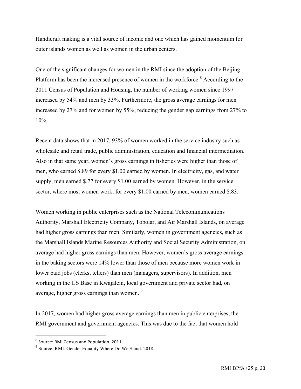Handicraft making is a vital source of income and one which has gained momentum for outer islands women as well as women in the urban centers.

One of the significant changes for women in the RMI since the adoption of the Beijing Platform has been the increased presence of women in the workforce.<sup>8</sup> According to the 2011 Census of Population and Housing, the number of working women since 1997 increased by 54% and men by 33%. Furthermore, the gross average earnings for men increased by 27% and for women by 55%, reducing the gender gap earnings from 27% to 10%.

Recent data shows that in 2017, 93% of women worked in the service industry such as wholesale and retail trade, public administration, education and financial intermediation. Also in that same year, women's gross earnings in fisheries were higher than those of men, who earned \$.89 for every \$1.00 earned by women. In electricity, gas, and water supply, men earned \$.77 for every \$1.00 earned by women. However, in the service sector, where most women work, for every \$1.00 earned by men, women earned \$.83.

Women working in public enterprises such as the National Telecommunications Authority, Marshall Electricity Company, Tobolar, and Air Marshall Islands, on average had higher gross earnings than men. Similarly, women in government agencies, such as the Marshall Islands Marine Resources Authority and Social Security Administration, on average had higher gross earnings than men. However, women's gross average earnings in the baking sectors were 14% lower than those of men because more women work in lower paid jobs (clerks, tellers) than men (managers, supervisors). In addition, men working in the US Base in Kwajalein, local government and private sector had, on average, higher gross earnings than women. 9

In 2017, women had higher gross average earnings than men in public enterprises, the RMI government and government agencies. This was due to the fact that women hold

 

 $8$  Source: RMI Census and Population. 2011

<sup>9</sup> Source: RMI. Gender Equality Where Do We Stand. 2018.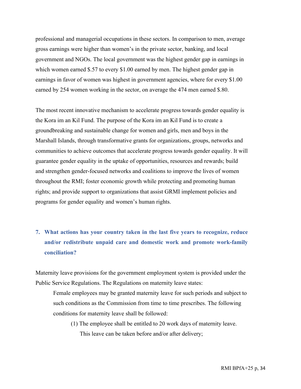professional and managerial occupations in these sectors. In comparison to men, average gross earnings were higher than women's in the private sector, banking, and local government and NGOs. The local government was the highest gender gap in earnings in which women earned \$.57 to every \$1.00 earned by men. The highest gender gap in earnings in favor of women was highest in government agencies, where for every \$1.00 earned by 254 women working in the sector, on average the 474 men earned \$.80.

The most recent innovative mechanism to accelerate progress towards gender equality is the Kora im an Kil Fund. The purpose of the Kora im an Kil Fund is to create a groundbreaking and sustainable change for women and girls, men and boys in the Marshall Islands, through transformative grants for organizations, groups, networks and communities to achieve outcomes that accelerate progress towards gender equality. It will guarantee gender equality in the uptake of opportunities, resources and rewards; build and strengthen gender-focused networks and coalitions to improve the lives of women throughout the RMI; foster economic growth while protecting and promoting human rights; and provide support to organizations that assist GRMI implement policies and programs for gender equality and women's human rights.

**7. What actions has your country taken in the last five years to recognize, reduce and/or redistribute unpaid care and domestic work and promote work-family conciliation?**

Maternity leave provisions for the government employment system is provided under the Public Service Regulations. The Regulations on maternity leave states:

Female employees may be granted maternity leave for such periods and subject to such conditions as the Commission from time to time prescribes. The following conditions for maternity leave shall be followed:

(1) The employee shall be entitled to 20 work days of maternity leave. This leave can be taken before and/or after delivery;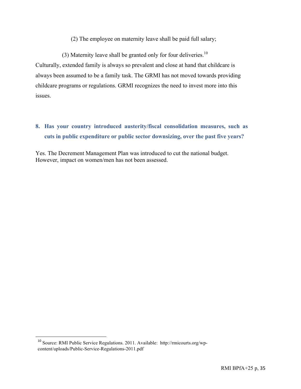(2) The employee on maternity leave shall be paid full salary;

(3) Maternity leave shall be granted only for four deliveries.<sup>10</sup> Culturally, extended family is always so prevalent and close at hand that childcare is always been assumed to be a family task. The GRMI has not moved towards providing childcare programs or regulations. GRMI recognizes the need to invest more into this issues.

# **8. Has your country introduced austerity/fiscal consolidation measures, such as cuts in public expenditure or public sector downsizing, over the past five years?**

Yes. The Decrement Management Plan was introduced to cut the national budget. However, impact on women/men has not been assessed.

 

<sup>10</sup> Source: RMI Public Service Regulations. 2011. Available: http://rmicourts.org/wpcontent/uploads/Public-Service-Regulations-2011.pdf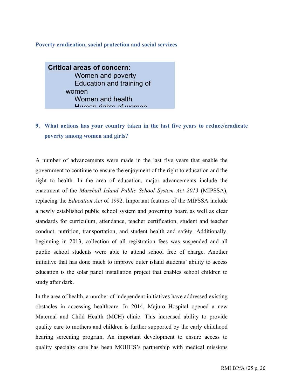#### **Poverty eradication, social protection and social services**

**Critical areas of concern:** Women and poverty Education and training of women Women and health Human rights of women

## **9. What actions has your country taken in the last five years to reduce/eradicate poverty among women and girls?**

A number of advancements were made in the last five years that enable the government to continue to ensure the enjoyment of the right to education and the right to health. In the area of education, major advancements include the enactment of the *Marshall Island Public School System Act 2013* (MIPSSA), replacing the *Education Act* of 1992. Important features of the MIPSSA include a newly established public school system and governing board as well as clear standards for curriculum, attendance, teacher certification, student and teacher conduct, nutrition, transportation, and student health and safety. Additionally, beginning in 2013, collection of all registration fees was suspended and all public school students were able to attend school free of charge. Another initiative that has done much to improve outer island students' ability to access education is the solar panel installation project that enables school children to study after dark.

In the area of health, a number of independent initiatives have addressed existing obstacles in accessing healthcare. In 2014, Majuro Hospital opened a new Maternal and Child Health (MCH) clinic. This increased ability to provide quality care to mothers and children is further supported by the early childhood hearing screening program. An important development to ensure access to quality specialty care has been MOHHS's partnership with medical missions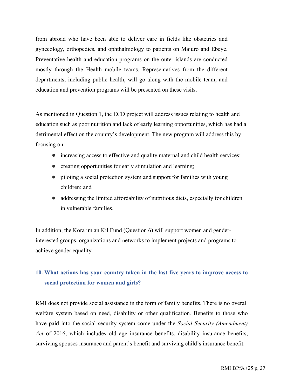from abroad who have been able to deliver care in fields like obstetrics and gynecology, orthopedics, and ophthalmology to patients on Majuro and Ebeye. Preventative health and education programs on the outer islands are conducted mostly through the Health mobile teams. Representatives from the different departments, including public health, will go along with the mobile team, and education and prevention programs will be presented on these visits.

As mentioned in Question 1, the ECD project will address issues relating to health and education such as poor nutrition and lack of early learning opportunities, which has had a detrimental effect on the country's development. The new program will address this by focusing on:

- increasing access to effective and quality maternal and child health services;
- creating opportunities for early stimulation and learning;
- piloting a social protection system and support for families with young children; and
- addressing the limited affordability of nutritious diets, especially for children in vulnerable families.

In addition, the Kora im an Kil Fund (Question 6) will support women and genderinterested groups, organizations and networks to implement projects and programs to achieve gender equality.

## **10. What actions has your country taken in the last five years to improve access to social protection for women and girls?**

RMI does not provide social assistance in the form of family benefits. There is no overall welfare system based on need, disability or other qualification. Benefits to those who have paid into the social security system come under the *Social Security (Amendment) Act* of 2016, which includes old age insurance benefits, disability insurance benefits, surviving spouses insurance and parent's benefit and surviving child's insurance benefit.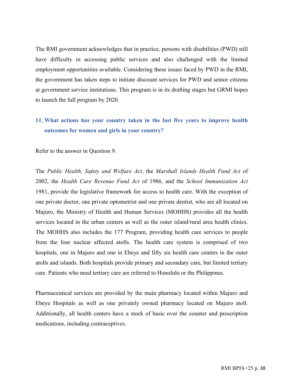The RMI government acknowledges that in practice, persons with disabilities (PWD) still have difficulty in accessing public services and also challenged with the limited employment opportunities available. Considering these issues faced by PWD in the RMI, the government has taken steps to initiate discount services for PWD and senior citizens at government service institutions. This program is in its drafting stages but GRMI hopes to launch the full program by 2020.

### **11. What actions has your country taken in the last five years to improve health outcomes for women and girls in your country?**

Refer to the answer in Question 9.

The *Public Health, Safety and Welfare Act*, the *Marshall Islands Health Fund Act* of 2002, the *Health Care Revenue Fund Act* of 1986, and the *School Immunization Act* 1981, provide the legislative framework for access to health care. With the exception of one private doctor, one private optometrist and one private dentist, who are all located on Majuro, the Ministry of Health and Human Services (MOHHS) provides all the health services located in the urban centers as well as the outer island/rural area health clinics. The MOHHS also includes the 177 Program, providing health care services to people from the four nuclear affected atolls. The health care system is comprised of two hospitals, one in Majuro and one in Ebeye and fifty six health care centers in the outer atolls and islands. Both hospitals provide primary and secondary care, but limited tertiary care. Patients who need tertiary care are referred to Honolulu or the Philippines.

Pharmaceutical services are provided by the main pharmacy located within Majuro and Ebeye Hospitals as well as one privately owned pharmacy located on Majuro atoll. Additionally, all health centers have a stock of basic over the counter and prescription medications, including contraceptives.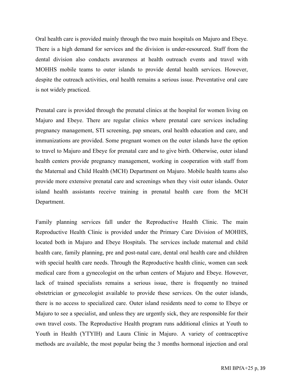Oral health care is provided mainly through the two main hospitals on Majuro and Ebeye. There is a high demand for services and the division is under-resourced. Staff from the dental division also conducts awareness at health outreach events and travel with MOHHS mobile teams to outer islands to provide dental health services. However, despite the outreach activities, oral health remains a serious issue. Preventative oral care is not widely practiced.

Prenatal care is provided through the prenatal clinics at the hospital for women living on Majuro and Ebeye. There are regular clinics where prenatal care services including pregnancy management, STI screening, pap smears, oral health education and care, and immunizations are provided. Some pregnant women on the outer islands have the option to travel to Majuro and Ebeye for prenatal care and to give birth. Otherwise, outer island health centers provide pregnancy management, working in cooperation with staff from the Maternal and Child Health (MCH) Department on Majuro. Mobile health teams also provide more extensive prenatal care and screenings when they visit outer islands. Outer island health assistants receive training in prenatal health care from the MCH Department.

Family planning services fall under the Reproductive Health Clinic. The main Reproductive Health Clinic is provided under the Primary Care Division of MOHHS, located both in Majuro and Ebeye Hospitals. The services include maternal and child health care, family planning, pre and post-natal care, dental oral health care and children with special health care needs. Through the Reproductive health clinic, women can seek medical care from a gynecologist on the urban centers of Majuro and Ebeye. However, lack of trained specialists remains a serious issue, there is frequently no trained obstetrician or gynecologist available to provide these services. On the outer islands, there is no access to specialized care. Outer island residents need to come to Ebeye or Majuro to see a specialist, and unless they are urgently sick, they are responsible for their own travel costs. The Reproductive Health program runs additional clinics at Youth to Youth in Health (YTYIH) and Laura Clinic in Majuro. A variety of contraceptive methods are available, the most popular being the 3 months hormonal injection and oral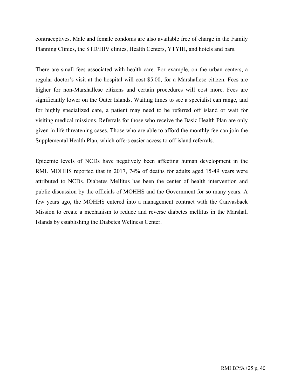contraceptives. Male and female condoms are also available free of charge in the Family Planning Clinics, the STD/HIV clinics, Health Centers, YTYIH, and hotels and bars.

There are small fees associated with health care. For example, on the urban centers, a regular doctor's visit at the hospital will cost \$5.00, for a Marshallese citizen. Fees are higher for non-Marshallese citizens and certain procedures will cost more. Fees are significantly lower on the Outer Islands. Waiting times to see a specialist can range, and for highly specialized care, a patient may need to be referred off island or wait for visiting medical missions. Referrals for those who receive the Basic Health Plan are only given in life threatening cases. Those who are able to afford the monthly fee can join the Supplemental Health Plan, which offers easier access to off island referrals.

Epidemic levels of NCDs have negatively been affecting human development in the RMI. MOHHS reported that in 2017, 74% of deaths for adults aged 15-49 years were attributed to NCDs. Diabetes Mellitus has been the center of health intervention and public discussion by the officials of MOHHS and the Government for so many years. A few years ago, the MOHHS entered into a management contract with the Canvasback Mission to create a mechanism to reduce and reverse diabetes mellitus in the Marshall Islands by establishing the Diabetes Wellness Center.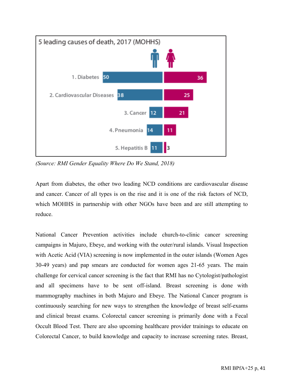

*(Source: RMI Gender Equality Where Do We Stand, 2018)*

Apart from diabetes, the other two leading NCD conditions are cardiovascular disease and cancer. Cancer of all types is on the rise and it is one of the risk factors of NCD, which MOHHS in partnership with other NGOs have been and are still attempting to reduce.

National Cancer Prevention activities include church-to-clinic cancer screening campaigns in Majuro, Ebeye, and working with the outer/rural islands. Visual Inspection with Acetic Acid (VIA) screening is now implemented in the outer islands (Women Ages 30-49 years) and pap smears are conducted for women ages 21-65 years. The main challenge for cervical cancer screening is the fact that RMI has no Cytologist/pathologist and all specimens have to be sent off-island. Breast screening is done with mammography machines in both Majuro and Ebeye. The National Cancer program is continuously searching for new ways to strengthen the knowledge of breast self-exams and clinical breast exams. Colorectal cancer screening is primarily done with a Fecal Occult Blood Test. There are also upcoming healthcare provider trainings to educate on Colorectal Cancer, to build knowledge and capacity to increase screening rates. Breast,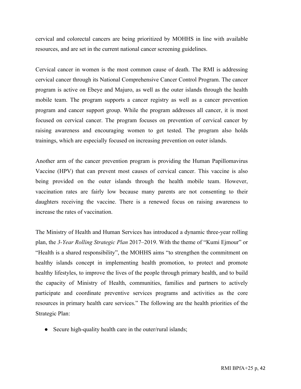cervical and colorectal cancers are being prioritized by MOHHS in line with available resources, and are set in the current national cancer screening guidelines.

Cervical cancer in women is the most common cause of death. The RMI is addressing cervical cancer through its National Comprehensive Cancer Control Program. The cancer program is active on Ebeye and Majuro, as well as the outer islands through the health mobile team. The program supports a cancer registry as well as a cancer prevention program and cancer support group. While the program addresses all cancer, it is most focused on cervical cancer. The program focuses on prevention of cervical cancer by raising awareness and encouraging women to get tested. The program also holds trainings, which are especially focused on increasing prevention on outer islands.

Another arm of the cancer prevention program is providing the Human Papillomavirus Vaccine (HPV) that can prevent most causes of cervical cancer. This vaccine is also being provided on the outer islands through the health mobile team. However, vaccination rates are fairly low because many parents are not consenting to their daughters receiving the vaccine. There is a renewed focus on raising awareness to increase the rates of vaccination.

The Ministry of Health and Human Services has introduced a dynamic three-year rolling plan, the *3-Year Rolling Strategic Plan* 2017–2019. With the theme of "Kumi Ejmour" or "Health is a shared responsibility", the MOHHS aims "to strengthen the commitment on healthy islands concept in implementing health promotion, to protect and promote healthy lifestyles, to improve the lives of the people through primary health, and to build the capacity of Ministry of Health, communities, families and partners to actively participate and coordinate preventive services programs and activities as the core resources in primary health care services." The following are the health priorities of the Strategic Plan:

• Secure high-quality health care in the outer/rural islands;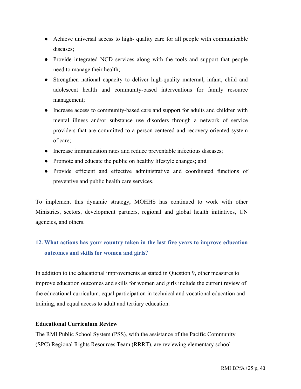- Achieve universal access to high- quality care for all people with communicable diseases;
- Provide integrated NCD services along with the tools and support that people need to manage their health;
- Strengthen national capacity to deliver high-quality maternal, infant, child and adolescent health and community-based interventions for family resource management;
- Increase access to community-based care and support for adults and children with mental illness and/or substance use disorders through a network of service providers that are committed to a person-centered and recovery-oriented system of care;
- Increase immunization rates and reduce preventable infectious diseases;
- Promote and educate the public on healthy lifestyle changes; and
- Provide efficient and effective administrative and coordinated functions of preventive and public health care services.

To implement this dynamic strategy, MOHHS has continued to work with other Ministries, sectors, development partners, regional and global health initiatives, UN agencies, and others.

## **12. What actions has your country taken in the last five years to improve education outcomes and skills for women and girls?**

In addition to the educational improvements as stated in Question 9, other measures to improve education outcomes and skills for women and girls include the current review of the educational curriculum, equal participation in technical and vocational education and training, and equal access to adult and tertiary education.

### **Educational Curriculum Review**

The RMI Public School System (PSS), with the assistance of the Pacific Community (SPC) Regional Rights Resources Team (RRRT), are reviewing elementary school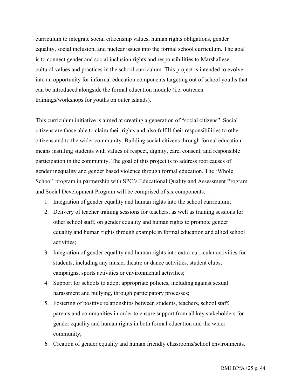curriculum to integrate social citizenship values, human rights obligations, gender equality, social inclusion, and nuclear issues into the formal school curriculum. The goal is to connect gender and social inclusion rights and responsibilities to Marshallese cultural values and practices in the school curriculum. This project is intended to evolve into an opportunity for informal education components targeting out of school youths that can be introduced alongside the formal education module (i.e. outreach trainings/workshops for youths on outer islands).

This curriculum initiative is aimed at creating a generation of "social citizens". Social citizens are those able to claim their rights and also fulfill their responsibilities to other citizens and to the wider community. Building social citizens through formal education means instilling students with values of respect, dignity, care, consent, and responsible participation in the community. The goal of this project is to address root causes of gender inequality and gender based violence through formal education. The 'Whole School' program in partnership with SPC's Educational Quality and Assessment Program and Social Development Program will be comprised of six components:

- 1. Integration of gender equality and human rights into the school curriculum;
- 2. Delivery of teacher training sessions for teachers, as well as training sessions for other school staff, on gender equality and human rights to promote gender equality and human rights through example in formal education and allied school activities;
- 3. Integration of gender equality and human rights into extra-curricular activities for students, including any music, theatre or dance activities, student clubs, campaigns, sports activities or environmental activities;
- 4. Support for schools to adopt appropriate policies, including against sexual harassment and bullying, through participatory processes;
- 5. Fostering of positive relationships between students, teachers, school staff, parents and communities in order to ensure support from all key stakeholders for gender equality and human rights in both formal education and the wider community;
- 6. Creation of gender equality and human friendly classrooms/school environments.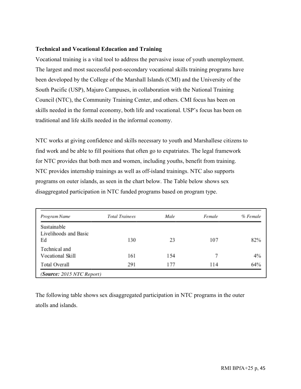### **Technical and Vocational Education and Training**

Vocational training is a vital tool to address the pervasive issue of youth unemployment. The largest and most successful post-secondary vocational skills training programs have been developed by the College of the Marshall Islands (CMI) and the University of the South Pacific (USP), Majuro Campuses, in collaboration with the National Training Council (NTC), the Community Training Center, and others. CMI focus has been on skills needed in the formal economy, both life and vocational. USP's focus has been on traditional and life skills needed in the informal economy.

NTC works at giving confidence and skills necessary to youth and Marshallese citizens to find work and be able to fill positions that often go to expatriates. The legal framework for NTC provides that both men and women, including youths, benefit from training. NTC provides internship trainings as well as off-island trainings. NTC also supports programs on outer islands, as seen in the chart below. The Table below shows sex disaggregated participation in NTC funded programs based on program type.

| Program Name          | <b>Total Trainees</b> | Male | Female | % Female |
|-----------------------|-----------------------|------|--------|----------|
| Sustainable           |                       |      |        |          |
| Livelihoods and Basic |                       |      |        |          |
| Ed                    | 130                   | 23   | 107    | 82%      |
| Technical and         |                       |      |        |          |
| Vocational Skill      | 161                   | 154  |        | 4%       |
| <b>Total Overall</b>  | 291                   | 177  | 114    | 64%      |

The following table shows sex disaggregated participation in NTC programs in the outer atolls and islands.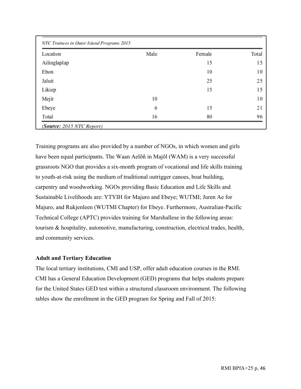| Location     | Male | Female | Total |
|--------------|------|--------|-------|
| Ailinglaplap |      | 15     | 15    |
| Ebon         |      | 10     | 10    |
| Jaluit       |      | 25     | 25    |
| Likiep       |      | 15     | 15    |
| Mejit        | 10   |        | 10    |
| Ebeye        | 6    | 15     | 21    |
| Total        | 16   | 80     | 96    |

Training programs are also provided by a number of NGOs, in which women and girls have been equal participants. The Waan Aelõñ in Majōl (WAM) is a very successful grassroots NGO that provides a six-month program of vocational and life skills training to youth-at-risk using the medium of traditional outrigger canoes, boat building, carpentry and woodworking. NGOs providing Basic Education and Life Skills and Sustainable Livelihoods are: YTYIH for Majuro and Ebeye; WUTMI; Juren Ae for Majuro, and Rukjenleen (WUTMI Chapter) for Ebeye. Furthermore, Australian-Pacific Technical College (APTC) provides training for Marshallese in the following areas: tourism & hospitality, automotive, manufacturing, construction, electrical trades, health, and community services.

### **Adult and Tertiary Education**

The local tertiary institutions, CMI and USP, offer adult education courses in the RMI. CMI has a General Education Development (GED) programs that helps students prepare for the United States GED test within a structured classroom environment. The following tables show the enrollment in the GED program for Spring and Fall of 2015: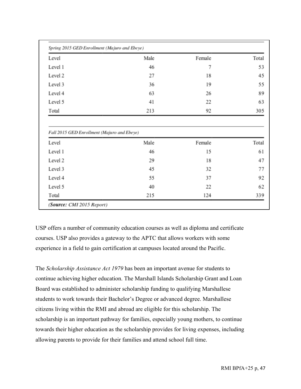| Spring 2015 GED Enrollment (Majuro and Ebeye)                 |            |              |                                            |
|---------------------------------------------------------------|------------|--------------|--------------------------------------------|
| Level                                                         | Male       | Female       | Total                                      |
| Level 1                                                       | 46         | 7            | 53                                         |
| Level 2                                                       | 27         | 18           | 45                                         |
| Level 3                                                       | 36         | 19           | 55                                         |
| Level 4                                                       | 63         | 26           | 89                                         |
| Level 5                                                       | 41         | 22           | 63                                         |
|                                                               |            |              |                                            |
|                                                               | 213        | 92           |                                            |
| Total<br>Fall 2015 GED Enrollment (Majuro and Ebeye)<br>Level |            |              |                                            |
| Level 1                                                       | Male<br>46 | Female<br>15 |                                            |
| Level 2                                                       | 29         | 18           |                                            |
| Level 3                                                       | 45         | 32           |                                            |
| Level 4                                                       | 55         | 37           |                                            |
| Level 5                                                       | 40         | 22           | 305<br>Total<br>61<br>47<br>77<br>92<br>62 |

USP offers a number of community education courses as well as diploma and certificate courses. USP also provides a gateway to the APTC that allows workers with some experience in a field to gain certification at campuses located around the Pacific.

The *Scholarship Assistance Act 1979* has been an important avenue for students to continue achieving higher education. The Marshall Islands Scholarship Grant and Loan Board was established to administer scholarship funding to qualifying Marshallese students to work towards their Bachelor's Degree or advanced degree. Marshallese citizens living within the RMI and abroad are eligible for this scholarship. The scholarship is an important pathway for families, especially young mothers, to continue towards their higher education as the scholarship provides for living expenses, including allowing parents to provide for their families and attend school full time.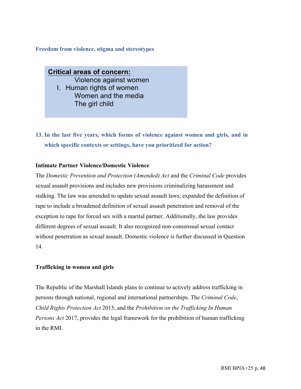#### **Freedom from violence, stigma and stereotypes**

**Critical areas of concern:** Violence against women I. Human rights of women Women and the media The girl child

### **13. In the last five years, which forms of violence against women and girls, and in which specific contexts or settings, have you prioritized for action?**

#### **Intimate Partner Violence/Domestic Violence**

The *Domestic Prevention and Protection (Amended) Act* and the *Criminal Code* provides sexual assault provisions and includes new provisions criminalizing harassment and stalking. The law was amended to update sexual assault laws; expanded the definition of rape to include a broadened definition of sexual assault penetration and removal of the exception to rape for forced sex with a marital partner. Additionally, the law provides different degrees of sexual assault. It also recognized non-consensual sexual contact without penetration as sexual assault. Domestic violence is further discussed in Question 14.

#### **Trafficking in women and girls**

The Republic of the Marshall Islands plans to continue to actively address trafficking in persons through national, regional and international partnerships. The *Criminal Code*, *Child Rights Protection Act* 2015, and the *Prohibition on the Trafficking In Human Persons Act* 2017, provides the legal framework for the prohibition of human trafficking in the RMI.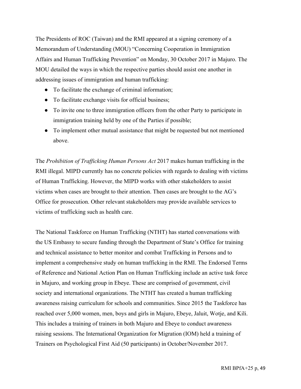The Presidents of ROC (Taiwan) and the RMI appeared at a signing ceremony of a Memorandum of Understanding (MOU) "Concerning Cooperation in Immigration Affairs and Human Trafficking Prevention" on Monday, 30 October 2017 in Majuro. The MOU detailed the ways in which the respective parties should assist one another in addressing issues of immigration and human trafficking:

- To facilitate the exchange of criminal information;
- To facilitate exchange visits for official business;
- To invite one to three immigration officers from the other Party to participate in immigration training held by one of the Parties if possible;
- To implement other mutual assistance that might be requested but not mentioned above.

The *Prohibition of Trafficking Human Persons Act* 2017 makes human trafficking in the RMI illegal. MIPD currently has no concrete policies with regards to dealing with victims of Human Trafficking. However, the MIPD works with other stakeholders to assist victims when cases are brought to their attention. Then cases are brought to the AG's Office for prosecution. Other relevant stakeholders may provide available services to victims of trafficking such as health care.

The National Taskforce on Human Trafficking (NTHT) has started conversations with the US Embassy to secure funding through the Department of State's Office for training and technical assistance to better monitor and combat Trafficking in Persons and to implement a comprehensive study on human trafficking in the RMI. The Endorsed Terms of Reference and National Action Plan on Human Trafficking include an active task force in Majuro, and working group in Ebeye. These are comprised of government, civil society and international organizations. The NTHT has created a human trafficking awareness raising curriculum for schools and communities. Since 2015 the Taskforce has reached over 5,000 women, men, boys and girls in Majuro, Ebeye, Jaluit, Wotje, and Kili. This includes a training of trainers in both Majuro and Ebeye to conduct awareness raising sessions. The International Organization for Migration (IOM) held a training of Trainers on Psychological First Aid (50 participants) in October/November 2017.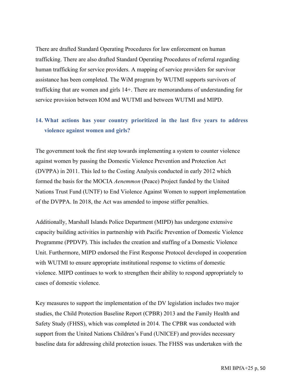There are drafted Standard Operating Procedures for law enforcement on human trafficking. There are also drafted Standard Operating Procedures of referral regarding human trafficking for service providers. A mapping of service providers for survivor assistance has been completed. The WiM program by WUTMI supports survivors of trafficking that are women and girls 14+. There are memorandums of understanding for service provision between IOM and WUTMI and between WUTMI and MIPD.

### **14. What actions has your country prioritized in the last five years to address violence against women and girls?**

The government took the first step towards implementing a system to counter violence against women by passing the Domestic Violence Prevention and Protection Act (DVPPA) in 2011. This led to the Costing Analysis conducted in early 2012 which formed the basis for the MOCIA *Aenemmon* (Peace) Project funded by the United Nations Trust Fund (UNTF) to End Violence Against Women to support implementation of the DVPPA. In 2018, the Act was amended to impose stiffer penalties.

Additionally, Marshall Islands Police Department (MIPD) has undergone extensive capacity building activities in partnership with Pacific Prevention of Domestic Violence Programme (PPDVP). This includes the creation and staffing of a Domestic Violence Unit. Furthermore, MIPD endorsed the First Response Protocol developed in cooperation with WUTMI to ensure appropriate institutional response to victims of domestic violence. MIPD continues to work to strengthen their ability to respond appropriately to cases of domestic violence.

Key measures to support the implementation of the DV legislation includes two major studies, the Child Protection Baseline Report (CPBR) 2013 and the Family Health and Safety Study (FHSS), which was completed in 2014. The CPBR was conducted with support from the United Nations Children's Fund (UNICEF) and provides necessary baseline data for addressing child protection issues. The FHSS was undertaken with the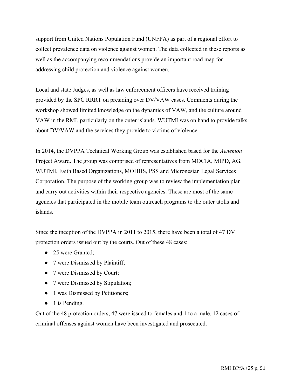support from United Nations Population Fund (UNFPA) as part of a regional effort to collect prevalence data on violence against women. The data collected in these reports as well as the accompanying recommendations provide an important road map for addressing child protection and violence against women.

Local and state Judges, as well as law enforcement officers have received training provided by the SPC RRRT on presiding over DV/VAW cases. Comments during the workshop showed limited knowledge on the dynamics of VAW, and the culture around VAW in the RMI, particularly on the outer islands. WUTMI was on hand to provide talks about DV/VAW and the services they provide to victims of violence.

In 2014, the DVPPA Technical Working Group was established based for the *Aenemon*  Project Award. The group was comprised of representatives from MOCIA, MIPD, AG, WUTMI, Faith Based Organizations, MOHHS, PSS and Micronesian Legal Services Corporation. The purpose of the working group was to review the implementation plan and carry out activities within their respective agencies. These are most of the same agencies that participated in the mobile team outreach programs to the outer atolls and islands.

Since the inception of the DVPPA in 2011 to 2015, there have been a total of 47 DV protection orders issued out by the courts. Out of these 48 cases:

- 25 were Granted;
- 7 were Dismissed by Plaintiff;
- 7 were Dismissed by Court;
- 7 were Dismissed by Stipulation;
- 1 was Dismissed by Petitioners;
- $\bullet$  1 is Pending.

Out of the 48 protection orders, 47 were issued to females and 1 to a male. 12 cases of criminal offenses against women have been investigated and prosecuted.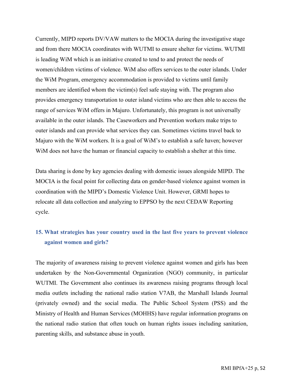Currently, MIPD reports DV/VAW matters to the MOCIA during the investigative stage and from there MOCIA coordinates with WUTMI to ensure shelter for victims. WUTMI is leading WiM which is an initiative created to tend to and protect the needs of women/children victims of violence. WiM also offers services to the outer islands. Under the WiM Program, emergency accommodation is provided to victims until family members are identified whom the victim(s) feel safe staying with. The program also provides emergency transportation to outer island victims who are then able to access the range of services WiM offers in Majuro. Unfortunately, this program is not universally available in the outer islands. The Caseworkers and Prevention workers make trips to outer islands and can provide what services they can. Sometimes victims travel back to Majuro with the WiM workers. It is a goal of WiM's to establish a safe haven; however WiM does not have the human or financial capacity to establish a shelter at this time.

Data sharing is done by key agencies dealing with domestic issues alongside MIPD. The MOCIA is the focal point for collecting data on gender-based violence against women in coordination with the MIPD's Domestic Violence Unit. However, GRMI hopes to relocate all data collection and analyzing to EPPSO by the next CEDAW Reporting cycle.

### **15. What strategies has your country used in the last five years to prevent violence against women and girls?**

The majority of awareness raising to prevent violence against women and girls has been undertaken by the Non-Governmental Organization (NGO) community, in particular WUTMI. The Government also continues its awareness raising programs through local media outlets including the national radio station V7AB, the Marshall Islands Journal (privately owned) and the social media. The Public School System (PSS) and the Ministry of Health and Human Services (MOHHS) have regular information programs on the national radio station that often touch on human rights issues including sanitation, parenting skills, and substance abuse in youth.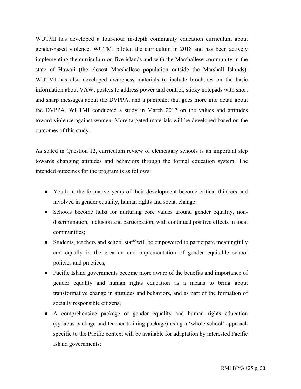WUTMI has developed a four-hour in-depth community education curriculum about gender-based violence. WUTMI piloted the curriculum in 2018 and has been actively implementing the curriculum on five islands and with the Marshallese community in the state of Hawaii (the closest Marshallese population outside the Marshall Islands). WUTMI has also developed awareness materials to include brochures on the basic information about VAW, posters to address power and control, sticky notepads with short and sharp messages about the DVPPA, and a pamphlet that goes more into detail about the DVPPA. WUTMI conducted a study in March 2017 on the values and attitudes toward violence against women. More targeted materials will be developed based on the outcomes of this study.

As stated in Question 12, curriculum review of elementary schools is an important step towards changing attitudes and behaviors through the formal education system. The intended outcomes for the program is as follows:

- Youth in the formative years of their development become critical thinkers and involved in gender equality, human rights and social change;
- Schools become hubs for nurturing core values around gender equality, nondiscrimination, inclusion and participation, with continued positive effects in local communities;
- Students, teachers and school staff will be empowered to participate meaningfully and equally in the creation and implementation of gender equitable school policies and practices;
- Pacific Island governments become more aware of the benefits and importance of gender equality and human rights education as a means to bring about transformative change in attitudes and behaviors, and as part of the formation of socially responsible citizens;
- A comprehensive package of gender equality and human rights education (syllabus package and teacher training package) using a 'whole school' approach specific to the Pacific context will be available for adaptation by interested Pacific Island governments;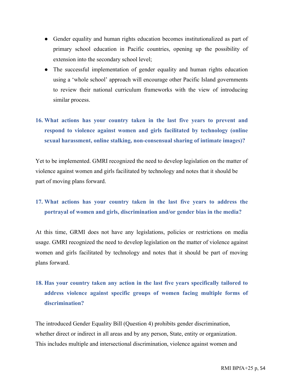- Gender equality and human rights education becomes institutionalized as part of primary school education in Pacific countries, opening up the possibility of extension into the secondary school level;
- The successful implementation of gender equality and human rights education using a 'whole school' approach will encourage other Pacific Island governments to review their national curriculum frameworks with the view of introducing similar process.

# **16. What actions has your country taken in the last five years to prevent and respond to violence against women and girls facilitated by technology (online sexual harassment, online stalking, non-consensual sharing of intimate images)?**

Yet to be implemented. GMRI recognized the need to develop legislation on the matter of violence against women and girls facilitated by technology and notes that it should be part of moving plans forward.

### **17. What actions has your country taken in the last five years to address the portrayal of women and girls, discrimination and/or gender bias in the media?**

At this time, GRMI does not have any legislations, policies or restrictions on media usage. GMRI recognized the need to develop legislation on the matter of violence against women and girls facilitated by technology and notes that it should be part of moving plans forward.

# **18. Has your country taken any action in the last five years specifically tailored to address violence against specific groups of women facing multiple forms of discrimination?**

The introduced Gender Equality Bill (Question 4) prohibits gender discrimination, whether direct or indirect in all areas and by any person, State, entity or organization. This includes multiple and intersectional discrimination, violence against women and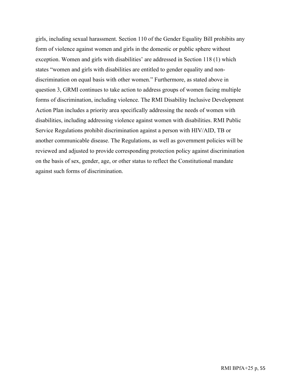girls, including sexual harassment. Section 110 of the Gender Equality Bill prohibits any form of violence against women and girls in the domestic or public sphere without exception. Women and girls with disabilities' are addressed in Section 118 (1) which states "women and girls with disabilities are entitled to gender equality and nondiscrimination on equal basis with other women." Furthermore, as stated above in question 3, GRMI continues to take action to address groups of women facing multiple forms of discrimination, including violence. The RMI Disability Inclusive Development Action Plan includes a priority area specifically addressing the needs of women with disabilities, including addressing violence against women with disabilities. RMI Public Service Regulations prohibit discrimination against a person with HIV/AID, TB or another communicable disease. The Regulations, as well as government policies will be reviewed and adjusted to provide corresponding protection policy against discrimination on the basis of sex, gender, age, or other status to reflect the Constitutional mandate against such forms of discrimination.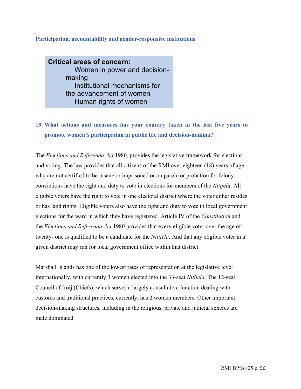### **Participation, accountability and gender-responsive institutions**

**Critical areas of concern:** Women in power and decisionmaking Institutional mechanisms for the advancement of women Human rights of women

Women and the media

## **19. What actions and measures has your country taken in the last five years to promote women's participation in public life and decision-making?**

The *Elections and Referenda Act* 1980, provides the legislative framework for elections and voting. The law provides that all citizens of the RMI over eighteen (18) years of age who are not certified to be insane or imprisoned or on parole or probation for felony convictions have the right and duty to vote in elections for members of the *Nitijela*. All eligible voters have the right to vote in one electoral district where the voter either resides or has land rights. Eligible voters also have the right and duty to vote in local government elections for the ward in which they have registered. Article IV of the *Constitution* and the *Elections and Referenda Act* 1980 provides that every eligible voter over the age of twenty- one is qualified to be a candidate for the *Nitijela*. And that any eligible voter in a given district may run for local government office within that district.

Marshall Islands has one of the lowest rates of representation at the legislative level internationally, with currently 3 women elected into the 33-seat *Nitijela*. The 12-seat Council of Iroij (Chiefs), which serves a largely consultative function dealing with customs and traditional practices, currently, has 2 women members. Other important decision-making structures, including in the religious, private and judicial spheres are male dominated.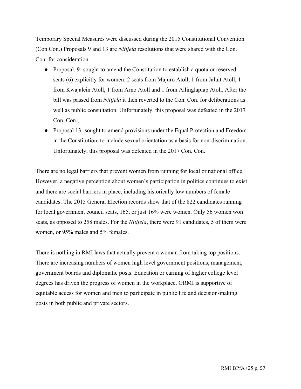Temporary Special Measures were discussed during the 2015 Constitutional Convention (Con.Con.) Proposals 9 and 13 are *Nitijela* resolutions that were shared with the Con. Con. for consideration.

- Proposal. 9- sought to amend the Constitution to establish a quota or reserved seats (6) explicitly for women: 2 seats from Majuro Atoll, 1 from Jaluit Atoll, 1 from Kwajalein Atoll, 1 from Arno Atoll and 1 from Ailinglaplap Atoll. After the bill was passed from *Nitijela* it then reverted to the Con. Con. for deliberations as well as public consultation. Unfortunately, this proposal was defeated in the 2017 Con. Con.;
- Proposal 13- sought to amend provisions under the Equal Protection and Freedom in the Constitution, to include sexual orientation as a basis for non-discrimination. Unfortunately, this proposal was defeated in the 2017 Con. Con.

There are no legal barriers that prevent women from running for local or national office. However, a negative perception about women's participation in politics continues to exist and there are social barriers in place, including historically low numbers of female candidates. The 2015 General Election records show that of the 822 candidates running for local government council seats, 165, or just 16% were women. Only 56 women won seats, as opposed to 258 males. For the *Nitijela*, there were 91 candidates, 5 of them were women, or 95% males and 5% females.

There is nothing in RMI laws that actually prevent a woman from taking top positions. There are increasing numbers of women high level government positions, management, government boards and diplomatic posts. Education or earning of higher college level degrees has driven the progress of women in the workplace. GRMI is supportive of equitable access for women and men to participate in public life and decision-making posts in both public and private sectors.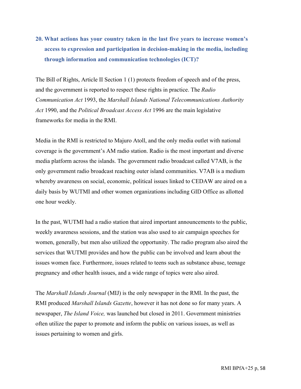# **20. What actions has your country taken in the last five years to increase women's access to expression and participation in decision-making in the media, including through information and communication technologies (ICT)?**

The Bill of Rights, Article II Section 1 (1) protects freedom of speech and of the press, and the government is reported to respect these rights in practice. The *Radio Communication Act* 1993, the *Marshall Islands National Telecommunications Authority Act* 1990, and the *Political Broadcast Access Act* 1996 are the main legislative frameworks for media in the RMI.

Media in the RMI is restricted to Majuro Atoll, and the only media outlet with national coverage is the government's AM radio station. Radio is the most important and diverse media platform across the islands. The government radio broadcast called V7AB, is the only government radio broadcast reaching outer island communities. V7AB is a medium whereby awareness on social, economic, political issues linked to CEDAW are aired on a daily basis by WUTMI and other women organizations including GID Office as allotted one hour weekly.

In the past, WUTMI had a radio station that aired important announcements to the public, weekly awareness sessions, and the station was also used to air campaign speeches for women, generally, but men also utilized the opportunity. The radio program also aired the services that WUTMI provides and how the public can be involved and learn about the issues women face. Furthermore, issues related to teens such as substance abuse, teenage pregnancy and other health issues, and a wide range of topics were also aired.

The *Marshall Islands Journal* (MIJ) is the only newspaper in the RMI. In the past, the RMI produced *Marshall Islands Gazette*, however it has not done so for many years. A newspaper, *The Island Voice,* was launched but closed in 2011. Government ministries often utilize the paper to promote and inform the public on various issues, as well as issues pertaining to women and girls.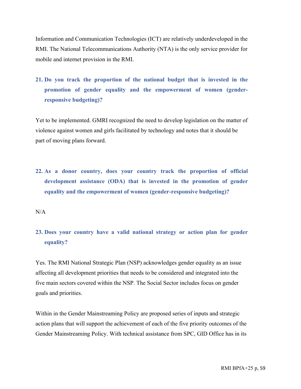Information and Communication Technologies (ICT) are relatively underdeveloped in the RMI. The National Telecommunications Authority (NTA) is the only service provider for mobile and internet provision in the RMI.

# **21. Do you track the proportion of the national budget that is invested in the promotion of gender equality and the empowerment of women (genderresponsive budgeting)?**

Yet to be implemented. GMRI recognized the need to develop legislation on the matter of violence against women and girls facilitated by technology and notes that it should be part of moving plans forward.

**22. As a donor country, does your country track the proportion of official development assistance (ODA) that is invested in the promotion of gender equality and the empowerment of women (gender-responsive budgeting)?** 

 $N/A$ 

### **23. Does your country have a valid national strategy or action plan for gender equality?**

Yes. The RMI National Strategic Plan (NSP) acknowledges gender equality as an issue affecting all development priorities that needs to be considered and integrated into the five main sectors covered within the NSP. The Social Sector includes focus on gender goals and priorities.

Within in the Gender Mainstreaming Policy are proposed series of inputs and strategic action plans that will support the achievement of each of the five priority outcomes of the Gender Mainstreaming Policy. With technical assistance from SPC, GID Office has in its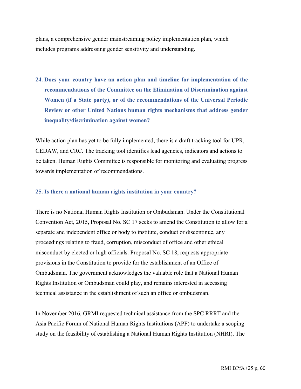plans, a comprehensive gender mainstreaming policy implementation plan, which includes programs addressing gender sensitivity and understanding.

**24. Does your country have an action plan and timeline for implementation of the recommendations of the Committee on the Elimination of Discrimination against Women (if a State party), or of the recommendations of the Universal Periodic Review or other United Nations human rights mechanisms that address gender inequality/discrimination against women?**

While action plan has yet to be fully implemented, there is a draft tracking tool for UPR, CEDAW, and CRC. The tracking tool identifies lead agencies, indicators and actions to be taken. Human Rights Committee is responsible for monitoring and evaluating progress towards implementation of recommendations.

#### **25. Is there a national human rights institution in your country?**

There is no National Human Rights Institution or Ombudsman. Under the Constitutional Convention Act, 2015, Proposal No. SC 17 seeks to amend the Constitution to allow for a separate and independent office or body to institute, conduct or discontinue, any proceedings relating to fraud, corruption, misconduct of office and other ethical misconduct by elected or high officials. Proposal No. SC 18, requests appropriate provisions in the Constitution to provide for the establishment of an Office of Ombudsman. The government acknowledges the valuable role that a National Human Rights Institution or Ombudsman could play, and remains interested in accessing technical assistance in the establishment of such an office or ombudsman.

In November 2016, GRMI requested technical assistance from the SPC RRRT and the Asia Pacific Forum of National Human Rights Institutions (APF) to undertake a scoping study on the feasibility of establishing a National Human Rights Institution (NHRI). The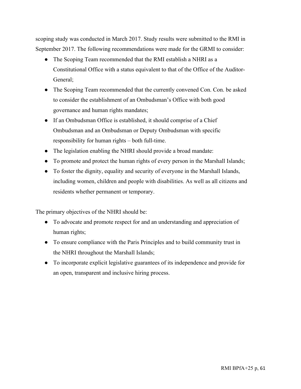scoping study was conducted in March 2017. Study results were submitted to the RMI in September 2017. The following recommendations were made for the GRMI to consider:

- The Scoping Team recommended that the RMI establish a NHRI as a Constitutional Office with a status equivalent to that of the Office of the Auditor-General;
- The Scoping Team recommended that the currently convened Con. Con. be asked to consider the establishment of an Ombudsman's Office with both good governance and human rights mandates;
- If an Ombudsman Office is established, it should comprise of a Chief Ombudsman and an Ombudsman or Deputy Ombudsman with specific responsibility for human rights – both full-time.
- The legislation enabling the NHRI should provide a broad mandate:
- To promote and protect the human rights of every person in the Marshall Islands;
- To foster the dignity, equality and security of everyone in the Marshall Islands, including women, children and people with disabilities. As well as all citizens and residents whether permanent or temporary.

The primary objectives of the NHRI should be:

- To advocate and promote respect for and an understanding and appreciation of human rights;
- To ensure compliance with the Paris Principles and to build community trust in the NHRI throughout the Marshall Islands;
- To incorporate explicit legislative guarantees of its independence and provide for an open, transparent and inclusive hiring process.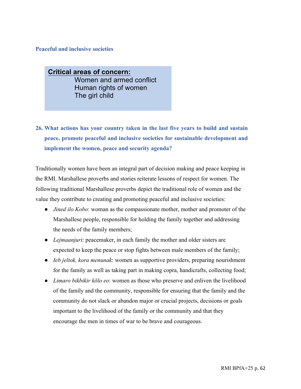#### **Peaceful and inclusive societies**

**Critical areas of concern:** Women and armed conflict Human rights of women The girl child

# **26. What actions has your country taken in the last five years to build and sustain peace, promote peaceful and inclusive societies for sustainable development and implement the women, peace and security agenda?**

Traditionally women have been an integral part of decision making and peace keeping in the RMI. Marshallese proverbs and stories reiterate lessons of respect for women. The following traditional Marshallese proverbs depict the traditional role of women and the value they contribute to creating and promoting peaceful and inclusive societies:

- *Jined ilo Kobo*: woman as the compassionate mother, mother and promoter of the Marshallese people, responsible for holding the family together and addressing the needs of the family members;
- *Lejmaanjuri*: peacemaker, in each family the mother and older sisters are expected to keep the peace or stop fights between male members of the family;
- *Ieb jeltok, kora menunak*: women as supportive providers, preparing nourishment for the family as well as taking part in making copra, handicrafts, collecting food;
- *Limaro bikbikir kōlo eo*: women as those who preserve and enliven the livelihood of the family and the community, responsible for ensuring that the family and the community do not slack or abandon major or crucial projects, decisions or goals important to the livelihood of the family or the community and that they encourage the men in times of war to be brave and courageous.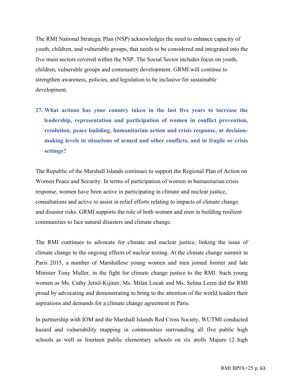The RMI National Strategic Plan (NSP) acknowledges the need to enhance capacity of youth, children, and vulnerable groups, that needs to be considered and integrated into the five main sectors covered within the NSP. The Social Sector includes focus on youth, children, vulnerable groups and community development. GRMI will continue to strengthen awareness, policies, and legislation to be inclusive for sustainable development.

**27. What actions has your country taken in the last five years to increase the leadership, representation and participation of women in conflict prevention, resolution, peace building, humanitarian action and crisis response, at decisionmaking levels in situations of armed and other conflicts, and in fragile or crisis settings?** 

The Republic of the Marshall Islands continues to support the Regional Plan of Action on Women Peace and Security. In terms of participation of women in humanitarian crisis response, women have been active in participating in climate and nuclear justice, consultations and active to assist in relief efforts relating to impacts of climate change and disaster risks. GRMI supports the role of both women and men in building resilient communities to face natural disasters and climate change.

The RMI continues to advocate for climate and nuclear justice, linking the issue of climate change to the ongoing effects of nuclear testing. At the climate change summit in Paris 2015, a number of Marshallese young women and men joined former and late Minister Tony Muller, in the fight for climate change justice to the RMI. Such young women as Ms. Cathy Jetnil-Kijiner, Ms. Milan Loeak and Ms. Selina Leem did the RMI proud by advocating and demonstrating to bring to the attention of the world leaders their aspirations and demands for a climate change agreement in Paris.

In partnership with IOM and the Marshall Islands Red Cross Society, WUTMI conducted hazard and vulnerability mapping in communities surrounding all five public high schools as well as fourteen public elementary schools on six atolls Majuro (2 high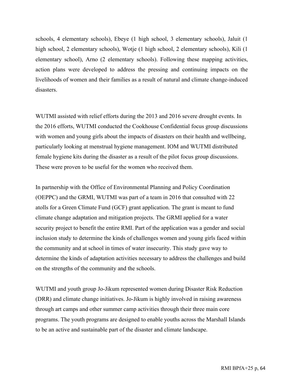schools, 4 elementary schools), Ebeye (1 high school, 3 elementary schools), Jaluit (1 high school, 2 elementary schools), Wotje (1 high school, 2 elementary schools), Kili (1 elementary school), Arno (2 elementary schools). Following these mapping activities, action plans were developed to address the pressing and continuing impacts on the livelihoods of women and their families as a result of natural and climate change-induced disasters.

WUTMI assisted with relief efforts during the 2013 and 2016 severe drought events. In the 2016 efforts, WUTMI conducted the Cookhouse Confidential focus group discussions with women and young girls about the impacts of disasters on their health and wellbeing, particularly looking at menstrual hygiene management. IOM and WUTMI distributed female hygiene kits during the disaster as a result of the pilot focus group discussions. These were proven to be useful for the women who received them.

In partnership with the Office of Environmental Planning and Policy Coordination (OEPPC) and the GRMI, WUTMI was part of a team in 2016 that consulted with 22 atolls for a Green Climate Fund (GCF) grant application. The grant is meant to fund climate change adaptation and mitigation projects. The GRMI applied for a water security project to benefit the entire RMI. Part of the application was a gender and social inclusion study to determine the kinds of challenges women and young girls faced within the community and at school in times of water insecurity. This study gave way to determine the kinds of adaptation activities necessary to address the challenges and build on the strengths of the community and the schools.

WUTMI and youth group Jo-Jikum represented women during Disaster Risk Reduction (DRR) and climate change initiatives. Jo-Jikum is highly involved in raising awareness through art camps and other summer camp activities through their three main core programs. The youth programs are designed to enable youths across the Marshall Islands to be an active and sustainable part of the disaster and climate landscape.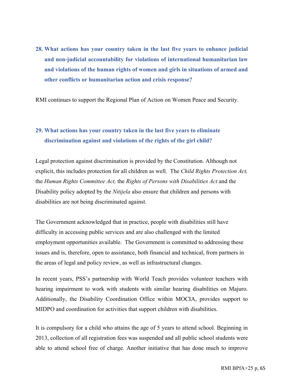**28. What actions has your country taken in the last five years to enhance judicial and non-judicial accountability for violations of international humanitarian law and violations of the human rights of women and girls in situations of armed and other conflicts or humanitarian action and crisis response?** 

RMI continues to support the Regional Plan of Action on Women Peace and Security.

## **29. What actions has your country taken in the last five years to eliminate discrimination against and violations of the rights of the girl child?**

Legal protection against discrimination is provided by the Constitution. Although not explicit, this includes protection for all children as well. The *Child Rights Protection Act,*  the *Human Rights Committee Act,* the *Rights of Persons with Disabilities Act* and the Disability policy adopted by the *Nitijela* also ensure that children and persons with disabilities are not being discriminated against.

The Government acknowledged that in practice, people with disabilities still have difficulty in accessing public services and are also challenged with the limited employment opportunities available. The Government is committed to addressing these issues and is, therefore, open to assistance, both financial and technical, from partners in the areas of legal and policy review, as well as infrastructural changes.

In recent years, PSS's partnership with World Teach provides volunteer teachers with hearing impairment to work with students with similar hearing disabilities on Majuro. Additionally, the Disability Coordination Office within MOCIA, provides support to MIDPO and coordination for activities that support children with disabilities.

It is compulsory for a child who attains the age of 5 years to attend school. Beginning in 2013, collection of all registration fees was suspended and all public school students were able to attend school free of charge. Another initiative that has done much to improve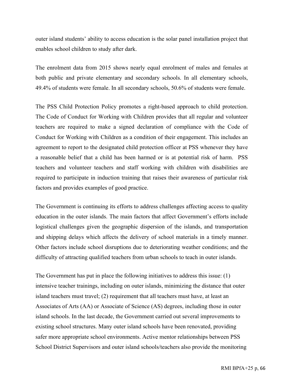outer island students' ability to access education is the solar panel installation project that enables school children to study after dark.

The enrolment data from 2015 shows nearly equal enrolment of males and females at both public and private elementary and secondary schools. In all elementary schools, 49.4% of students were female. In all secondary schools, 50.6% of students were female.

The PSS Child Protection Policy promotes a right-based approach to child protection. The Code of Conduct for Working with Children provides that all regular and volunteer teachers are required to make a signed declaration of compliance with the Code of Conduct for Working with Children as a condition of their engagement. This includes an agreement to report to the designated child protection officer at PSS whenever they have a reasonable belief that a child has been harmed or is at potential risk of harm. PSS teachers and volunteer teachers and staff working with children with disabilities are required to participate in induction training that raises their awareness of particular risk factors and provides examples of good practice.

The Government is continuing its efforts to address challenges affecting access to quality education in the outer islands. The main factors that affect Government's efforts include logistical challenges given the geographic dispersion of the islands, and transportation and shipping delays which affects the delivery of school materials in a timely manner. Other factors include school disruptions due to deteriorating weather conditions; and the difficulty of attracting qualified teachers from urban schools to teach in outer islands.

The Government has put in place the following initiatives to address this issue: (1) intensive teacher trainings, including on outer islands, minimizing the distance that outer island teachers must travel; (2) requirement that all teachers must have, at least an Associates of Arts (AA) or Associate of Science (AS) degrees, including those in outer island schools. In the last decade, the Government carried out several improvements to existing school structures. Many outer island schools have been renovated, providing safer more appropriate school environments. Active mentor relationships between PSS School District Supervisors and outer island schools/teachers also provide the monitoring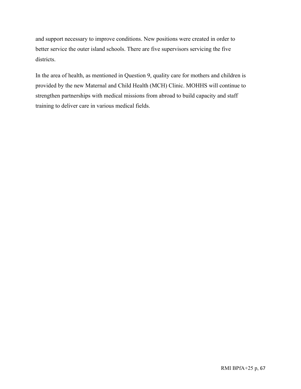and support necessary to improve conditions. New positions were created in order to better service the outer island schools. There are five supervisors servicing the five districts.

In the area of health, as mentioned in Question 9, quality care for mothers and children is provided by the new Maternal and Child Health (MCH) Clinic. MOHHS will continue to strengthen partnerships with medical missions from abroad to build capacity and staff training to deliver care in various medical fields.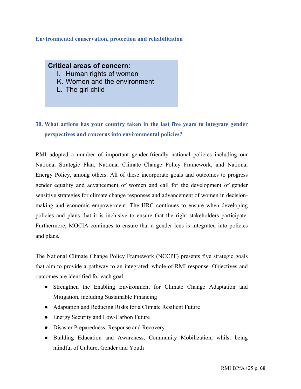### **Environmental conservation, protection and rehabilitation**

### **Critical areas of concern:**

- I. Human rights of women
- K. Women and the environment
- L. The girl child

## **30. What actions has your country taken in the last five years to integrate gender perspectives and concerns into environmental policies?**

RMI adopted a number of important gender-friendly national policies including our National Strategic Plan, National Climate Change Policy Framework, and National Energy Policy, among others. All of these incorporate goals and outcomes to progress gender equality and advancement of women and call for the development of gender sensitive strategies for climate change responses and advancement of women in decisionmaking and economic empowerment. The HRC continues to ensure when developing policies and plans that it is inclusive to ensure that the right stakeholders participate. Furthermore, MOCIA continues to ensure that a gender lens is integrated into policies and plans.

The National Climate Change Policy Framework (NCCPF) presents five strategic goals that aim to provide a pathway to an integrated, whole-of-RMI response. Objectives and outcomes are identified for each goal.

- Strengthen the Enabling Environment for Climate Change Adaptation and Mitigation, including Sustainable Financing
- Adaptation and Reducing Risks for a Climate Resilient Future
- Energy Security and Low-Carbon Future
- Disaster Preparedness, Response and Recovery
- Building Education and Awareness, Community Mobilization, whilst being mindful of Culture, Gender and Youth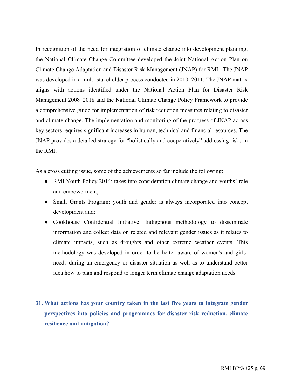In recognition of the need for integration of climate change into development planning, the National Climate Change Committee developed the Joint National Action Plan on Climate Change Adaptation and Disaster Risk Management (JNAP) for RMI. The JNAP was developed in a multi-stakeholder process conducted in 2010–2011. The JNAP matrix aligns with actions identified under the National Action Plan for Disaster Risk Management 2008–2018 and the National Climate Change Policy Framework to provide a comprehensive guide for implementation of risk reduction measures relating to disaster and climate change. The implementation and monitoring of the progress of JNAP across key sectors requires significant increases in human, technical and financial resources. The JNAP provides a detailed strategy for "holistically and cooperatively" addressing risks in the RMI.

As a cross cutting issue, some of the achievements so far include the following:

- RMI Youth Policy 2014: takes into consideration climate change and youths' role and empowerment;
- Small Grants Program: youth and gender is always incorporated into concept development and;
- Cookhouse Confidential Initiative: Indigenous methodology to disseminate information and collect data on related and relevant gender issues as it relates to climate impacts, such as droughts and other extreme weather events. This methodology was developed in order to be better aware of women's and girls' needs during an emergency or disaster situation as well as to understand better idea how to plan and respond to longer term climate change adaptation needs.
- **31. What actions has your country taken in the last five years to integrate gender perspectives into policies and programmes for disaster risk reduction, climate resilience and mitigation?**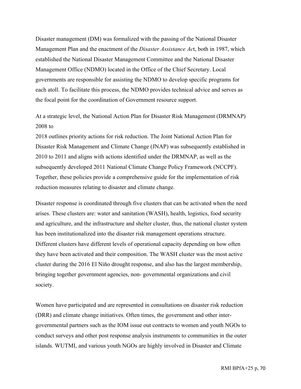Disaster management (DM) was formalized with the passing of the National Disaster Management Plan and the enactment of the *Disaster Assistance Ac*t, both in 1987, which established the National Disaster Management Committee and the National Disaster Management Office (NDMO) located in the Office of the Chief Secretary. Local governments are responsible for assisting the NDMO to develop specific programs for each atoll. To facilitate this process, the NDMO provides technical advice and serves as the focal point for the coordination of Government resource support.

## At a strategic level, the National Action Plan for Disaster Risk Management (DRMNAP) 2008 to

2018 outlines priority actions for risk reduction. The Joint National Action Plan for Disaster Risk Management and Climate Change (JNAP) was subsequently established in 2010 to 2011 and aligns with actions identified under the DRMNAP, as well as the subsequently developed 2011 National Climate Change Policy Framework (NCCPF). Together, these policies provide a comprehensive guide for the implementation of risk reduction measures relating to disaster and climate change.

Disaster response is coordinated through five clusters that can be activated when the need arises. These clusters are: water and sanitation (WASH), health, logistics, food security and agriculture, and the infrastructure and shelter cluster, thus, the national cluster system has been institutionalized into the disaster risk management operations structure. Different clusters have different levels of operational capacity depending on how often they have been activated and their composition. The WASH cluster was the most active cluster during the 2016 El Niño drought response, and also has the largest membership, bringing together government agencies, non- governmental organizations and civil society.

Women have participated and are represented in consultations on disaster risk reduction (DRR) and climate change initiatives. Often times, the government and other intergovernmental partners such as the IOM issue out contracts to women and youth NGOs to conduct surveys and other post response analysis instruments to communities in the outer islands. WUTMI, and various youth NGOs are highly involved in Disaster and Climate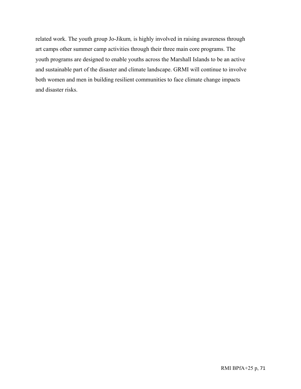related work. The youth group Jo-Jikum*,* is highly involved in raising awareness through art camps other summer camp activities through their three main core programs. The youth programs are designed to enable youths across the Marshall Islands to be an active and sustainable part of the disaster and climate landscape. GRMI will continue to involve both women and men in building resilient communities to face climate change impacts and disaster risks.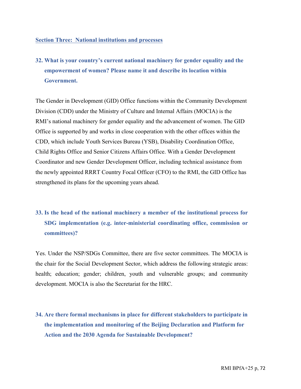#### **Section Three: National institutions and processes**

**32. What is your country's current national machinery for gender equality and the empowerment of women? Please name it and describe its location within Government.**

The Gender in Development (GID) Office functions within the Community Development Division (CDD) under the Ministry of Culture and Internal Affairs (MOCIA) is the RMI's national machinery for gender equality and the advancement of women. The GID Office is supported by and works in close cooperation with the other offices within the CDD, which include Youth Services Bureau (YSB), Disability Coordination Office, Child Rights Office and Senior Citizens Affairs Office. With a Gender Development Coordinator and new Gender Development Officer, including technical assistance from the newly appointed RRRT Country Focal Officer (CFO) to the RMI, the GID Office has strengthened its plans for the upcoming years ahead.

# **33. Is the head of the national machinery a member of the institutional process for SDG implementation (e.g. inter-ministerial coordinating office, commission or committees)?**

Yes. Under the NSP/SDGs Committee, there are five sector committees. The MOCIA is the chair for the Social Development Sector, which address the following strategic areas: health; education; gender; children, youth and vulnerable groups; and community development. MOCIA is also the Secretariat for the HRC.

**34. Are there formal mechanisms in place for different stakeholders to participate in the implementation and monitoring of the Beijing Declaration and Platform for Action and the 2030 Agenda for Sustainable Development?**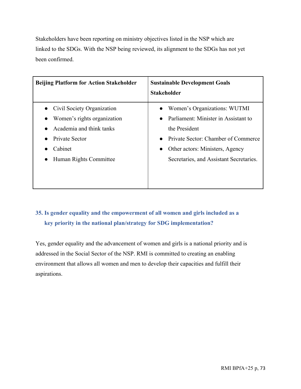Stakeholders have been reporting on ministry objectives listed in the NSP which are linked to the SDGs. With the NSP being reviewed, its alignment to the SDGs has not yet been confirmed.

| <b>Beijing Platform for Action Stakeholder</b>                                                                                                                         | <b>Sustainable Development Goals</b><br><b>Stakeholder</b>                                                                                                                                                                                        |
|------------------------------------------------------------------------------------------------------------------------------------------------------------------------|---------------------------------------------------------------------------------------------------------------------------------------------------------------------------------------------------------------------------------------------------|
| Civil Society Organization<br>Women's rights organization<br>$\bullet$<br>Academia and think tanks<br>Private Sector<br>Cabinet<br>Human Rights Committee<br>$\bullet$ | Women's Organizations: WUTMI<br>Parliament: Minister in Assistant to<br>$\bullet$<br>the President<br>Private Sector: Chamber of Commerce<br>$\bullet$<br>Other actors: Ministers, Agency<br>$\bullet$<br>Secretaries, and Assistant Secretaries. |

## **35. Is gender equality and the empowerment of all women and girls included as a key priority in the national plan/strategy for SDG implementation?**

Yes, gender equality and the advancement of women and girls is a national priority and is addressed in the Social Sector of the NSP. RMI is committed to creating an enabling environment that allows all women and men to develop their capacities and fulfill their aspirations.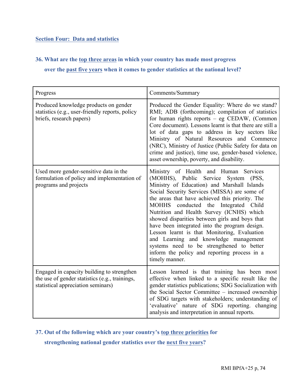## **Section Four: Data and statistics**

## **36. What are the top three areas in which your country has made most progress**

## **over the past five years when it comes to gender statistics at the national level?**

| Progress                                                                                                                           | Comments/Summary                                                                                                                                                                                                                                                                                                                                                                                                                                                                                                                                                                                                                          |
|------------------------------------------------------------------------------------------------------------------------------------|-------------------------------------------------------------------------------------------------------------------------------------------------------------------------------------------------------------------------------------------------------------------------------------------------------------------------------------------------------------------------------------------------------------------------------------------------------------------------------------------------------------------------------------------------------------------------------------------------------------------------------------------|
| Produced knowledge products on gender<br>statistics (e.g., user-friendly reports, policy<br>briefs, research papers)               | Produced the Gender Equality: Where do we stand?<br>RMI; ADB (forthcoming); compilation of statistics<br>for human rights reports - eg CEDAW, (Common<br>Core document). Lessons learnt is that there are still a<br>lot of data gaps to address in key sectors like<br>Ministry of Natural Resources and Commerce<br>(NRC), Ministry of Justice (Public Safety for data on<br>crime and justice), time use, gender-based violence,<br>asset ownership, poverty, and disability.                                                                                                                                                          |
| Used more gender-sensitive data in the<br>formulation of policy and implementation of<br>programs and projects                     | Ministry of Health and Human Services<br>(MOHHS), Public Service System (PSS,<br>Ministry of Education) and Marshall Islands<br>Social Security Services (MISSA) are some of<br>the areas that have achieved this priority. The<br><b>MOHHS</b><br>conducted the Integrated Child<br>Nutrition and Health Survey (ICNHS) which<br>showed disparities between girls and boys that<br>have been integrated into the program design.<br>Lesson learnt is that Monitoring, Evaluation<br>and Learning and knowledge management<br>systems need to be strengthened to better<br>inform the policy and reporting process in a<br>timely manner. |
| Engaged in capacity building to strengthen<br>the use of gender statistics (e.g., trainings,<br>statistical appreciation seminars) | Lesson learned is that training has been most<br>effective when linked to a specific result like the<br>gender statistics publications; SDG Socialization with<br>the Social Sector Committee – increased ownership<br>of SDG targets with stakeholders; understanding of<br>'evaluative' nature of SDG reporting. changing<br>analysis and interpretation in annual reports.                                                                                                                                                                                                                                                             |

### **37. Out of the following which are your country's top three priorities for**

**strengthening national gender statistics over the next five years?**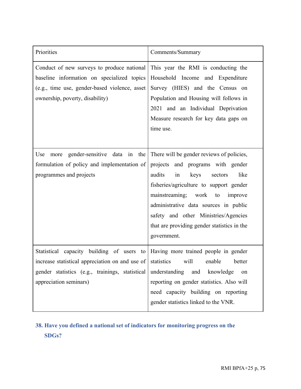| Priorities                                                                                                                                                                           | Comments/Summary                                                                                                                                                                                                                                                                                                                                            |
|--------------------------------------------------------------------------------------------------------------------------------------------------------------------------------------|-------------------------------------------------------------------------------------------------------------------------------------------------------------------------------------------------------------------------------------------------------------------------------------------------------------------------------------------------------------|
| Conduct of new surveys to produce national<br>baseline information on specialized topics<br>(e.g., time use, gender-based violence, asset<br>ownership, poverty, disability)         | This year the RMI is conducting the<br>Household Income and Expenditure<br>Survey (HIES) and the Census on<br>Population and Housing will follows in<br>2021 and an Individual Deprivation<br>Measure research for key data gaps on<br>time use.                                                                                                            |
| gender-sensitive<br>data in the<br>Use<br>more<br>formulation of policy and implementation of<br>programmes and projects                                                             | There will be gender reviews of policies,<br>projects and programs with gender<br>audits<br>in<br>like<br>keys<br>sectors<br>fisheries/agriculture to support gender<br>mainstreaming; work<br>to<br>improve<br>administrative data sources in public<br>safety and other Ministries/Agencies<br>that are providing gender statistics in the<br>government. |
| Statistical capacity building of users to<br>increase statistical appreciation on and use of statistics<br>gender statistics (e.g., trainings, statistical<br>appreciation seminars) | Having more trained people in gender<br>enable<br>will<br>better<br>understanding and knowledge<br>on<br>reporting on gender statistics. Also will<br>need capacity building on reporting<br>gender statistics linked to the VNR.                                                                                                                           |

# **38. Have you defined a national set of indicators for monitoring progress on the SDGs?**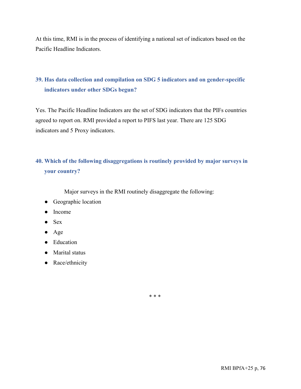At this time, RMI is in the process of identifying a national set of indicators based on the Pacific Headline Indicators.

## **39. Has data collection and compilation on SDG 5 indicators and on gender-specific indicators under other SDGs begun?**

Yes. The Pacific Headline Indicators are the set of SDG indicators that the PIFs countries agreed to report on. RMI provided a report to PIFS last year. There are 125 SDG indicators and 5 Proxy indicators.

## **40. Which of the following disaggregations is routinely provided by major surveys in your country?**

Major surveys in the RMI routinely disaggregate the following:

- Geographic location
- Income
- $\bullet$  Sex
- Age
- Education
- Marital status
- Race/ethnicity

\* \* \*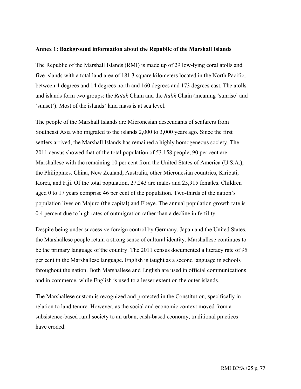#### **Annex 1: Background information about the Republic of the Marshall Islands**

The Republic of the Marshall Islands (RMI) is made up of 29 low-lying coral atolls and five islands with a total land area of 181.3 square kilometers located in the North Pacific, between 4 degrees and 14 degrees north and 160 degrees and 173 degrees east. The atolls and islands form two groups: the *Ratak* Chain and the *Ralik* Chain (meaning 'sunrise' and 'sunset'). Most of the islands' land mass is at sea level.

The people of the Marshall Islands are Micronesian descendants of seafarers from Southeast Asia who migrated to the islands 2,000 to 3,000 years ago. Since the first settlers arrived, the Marshall Islands has remained a highly homogeneous society. The 2011 census showed that of the total population of 53,158 people, 90 per cent are Marshallese with the remaining 10 per cent from the United States of America (U.S.A.), the Philippines, China, New Zealand, Australia, other Micronesian countries, Kiribati, Korea, and Fiji. Of the total population, 27,243 are males and 25,915 females. Children aged 0 to 17 years comprise 46 per cent of the population. Two-thirds of the nation's population lives on Majuro (the capital) and Ebeye. The annual population growth rate is 0.4 percent due to high rates of outmigration rather than a decline in fertility.

Despite being under successive foreign control by Germany, Japan and the United States, the Marshallese people retain a strong sense of cultural identity. Marshallese continues to be the primary language of the country. The 2011 census documented a literacy rate of 95 per cent in the Marshallese language. English is taught as a second language in schools throughout the nation. Both Marshallese and English are used in official communications and in commerce, while English is used to a lesser extent on the outer islands.

The Marshallese custom is recognized and protected in the Constitution, specifically in relation to land tenure. However, as the social and economic context moved from a subsistence-based rural society to an urban, cash-based economy, traditional practices have eroded.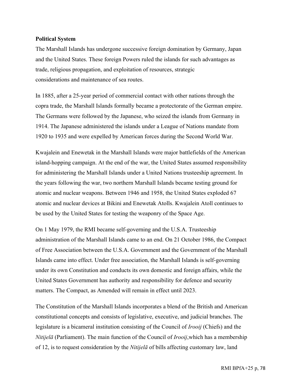#### **Political System**

The Marshall Islands has undergone successive foreign domination by Germany, Japan and the United States. These foreign Powers ruled the islands for such advantages as trade, religious propagation, and exploitation of resources, strategic considerations and maintenance of sea routes.

In 1885, after a 25-year period of commercial contact with other nations through the copra trade, the Marshall Islands formally became a protectorate of the German empire. The Germans were followed by the Japanese, who seized the islands from Germany in 1914. The Japanese administered the islands under a League of Nations mandate from 1920 to 1935 and were expelled by American forces during the Second World War.

Kwajalein and Enewetak in the Marshall Islands were major battlefields of the American island-hopping campaign. At the end of the war, the United States assumed responsibility for administering the Marshall Islands under a United Nations trusteeship agreement. In the years following the war, two northern Marshall Islands became testing ground for atomic and nuclear weapons. Between 1946 and 1958, the United States exploded 67 atomic and nuclear devices at Bikini and Enewetak Atolls. Kwajalein Atoll continues to be used by the United States for testing the weaponry of the Space Age.

On 1 May 1979, the RMI became self-governing and the U.S.A. Trusteeship administration of the Marshall Islands came to an end. On 21 October 1986, the Compact of Free Association between the U.S.A. Government and the Government of the Marshall Islands came into effect. Under free association, the Marshall Islands is self-governing under its own Constitution and conducts its own domestic and foreign affairs, while the United States Government has authority and responsibility for defence and security matters. The Compact, as Amended will remain in effect until 2023.

The Constitution of the Marshall Islands incorporates a blend of the British and American constitutional concepts and consists of legislative, executive, and judicial branches. The legislature is a bicameral institution consisting of the Council of *Irooij* (Chiefs) and the *Nitijelā* (Parliament). The main function of the Council of *Irooij*,which has a membership of 12, is to request consideration by the *Nitijelā* of bills affecting customary law, land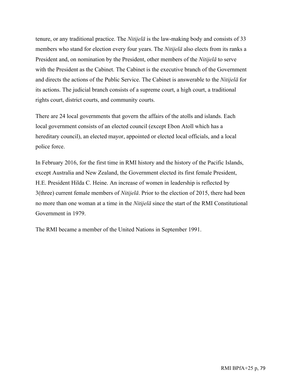tenure, or any traditional practice. The *Nitijelā* is the law-making body and consists of 33 members who stand for election every four years. The *Nitijelā* also elects from its ranks a President and, on nomination by the President, other members of the *Nitijelā* to serve with the President as the Cabinet. The Cabinet is the executive branch of the Government and directs the actions of the Public Service. The Cabinet is answerable to the *Nitijelā* for its actions. The judicial branch consists of a supreme court, a high court, a traditional rights court, district courts, and community courts.

There are 24 local governments that govern the affairs of the atolls and islands. Each local government consists of an elected council (except Ebon Atoll which has a hereditary council), an elected mayor, appointed or elected local officials, and a local police force.

In February 2016, for the first time in RMI history and the history of the Pacific Islands, except Australia and New Zealand, the Government elected its first female President, H.E. President Hilda C. Heine. An increase of women in leadership is reflected by 3(three) current female members of *Nitijelā*. Prior to the election of 2015, there had been no more than one woman at a time in the *Nitijelā* since the start of the RMI Constitutional Government in 1979.

The RMI became a member of the United Nations in September 1991.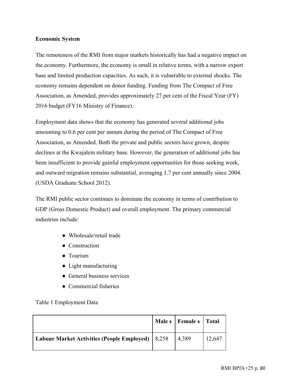### **Economic System**

The remoteness of the RMI from major markets historically has had a negative impact on the economy. Furthermore, the economy is small in relative terms, with a narrow export base and limited production capacities. As such, it is vulnerable to external shocks. The economy remains dependent on donor funding. Funding from The Compact of Free Association, as Amended, provides approximately 27 per cent of the Fiscal Year (FY) 2016 budget (FY16 Ministry of Finance).

Employment data shows that the economy has generated several additional jobs amounting to 0.6 per cent per annum during the period of The Compact of Free Association, as Amended. Both the private and public sectors have grown, despite declines at the Kwajalein military base. However, the generation of additional jobs has been insufficient to provide gainful employment opportunities for those seeking work, and outward migration remains substantial, averaging 1.7 per cent annually since 2004. (USDA Graduate School 2012).

The RMI public sector continues to dominate the economy in terms of contribution to GDP (Gross Domestic Product) and overall employment. The primary commercial industries include:

- Wholesale/retail trade
- Construction
- Tourism
- Light manufacturing
- General business services
- Commercial fisheries

### Table 1 Employment Data

|                                                    | Male s   Female s   Total |        |
|----------------------------------------------------|---------------------------|--------|
| Labour Market Activities (People Employed)   8,258 | 4,389                     | 12,647 |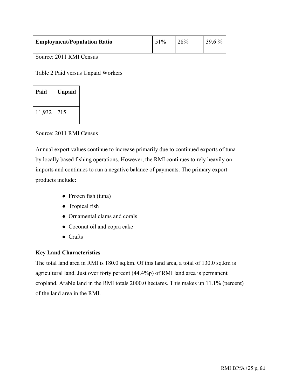| <b>Employment/Population Ratio</b> | 51% | 28% | $39.6\%$ |
|------------------------------------|-----|-----|----------|
|------------------------------------|-----|-----|----------|

Source: 2011 RMI Census

Table 2 Paid versus Unpaid Workers

| Paid   | <b>Unpaid</b> |
|--------|---------------|
| 11,932 | 715           |

Source: 2011 RMI Census

Annual export values continue to increase primarily due to continued exports of tuna by locally based fishing operations. However, the RMI continues to rely heavily on imports and continues to run a negative balance of payments. The primary export products include:

- Frozen fish (tuna)
- Tropical fish
- Ornamental clams and corals
- Coconut oil and copra cake
- Crafts

### **Key Land Characteristics**

The total land area in RMI is 180.0 sq.km. Of this land area, a total of 130.0 sq.km is agricultural land. Just over forty percent (44.4%p) of RMI land area is permanent cropland. Arable land in the RMI totals 2000.0 hectares. This makes up 11.1% (percent) of the land area in the RMI.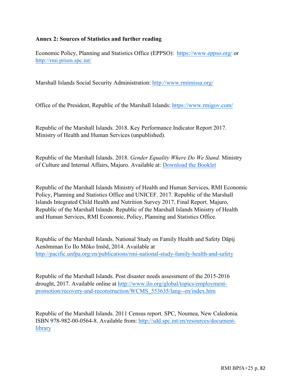### **Annex 2: Sources of Statistics and further reading**

Economic Policy, Planning and Statistics Office (EPPSO): https://www.eppso.org/ or http://rmi.prism.spc.int/

Marshall Islands Social Security Administration: http://www.rmimissa.org/

Office of the President, Republic of the Marshall Islands: https://www.rmigov.com/

Republic of the Marshall Islands. 2018. Key Performance Indicator Report 2017. Ministry of Health and Human Services (unpublished).

Republic of the Marshall Islands. 2018. *Gender Equality Where Do We Stand*. Ministry of Culture and Internal Affairs, Majuro. Available at: Download the Booklet

Republic of the Marshall Islands Ministry of Health and Human Services, RMI Economic Policy, Planning and Statistics Office and UNICEF. 2017. Republic of the Marshall Islands Integrated Child Health and Nutrition Survey 2017, Final Report. Majuro, Republic of the Marshall Islands: Republic of the Marshall Islands Ministry of Health and Human Services, RMI Economic, Policy, Planning and Statistics Office.

Republic of the Marshall Islands. National Study on Family Health and Safety Dāpij Aenōmman Eo Ilo Mōko Imōd, 2014. Available at http://pacific.unfpa.org/en/publications/rmi-national-study-family-health-and-safety

Republic of the Marshall Islands. Post disaster needs assessment of the 2015-2016 drought, 2017. Available online at http://www.ilo.org/global/topics/employmentpromotion/recovery-and-reconstruction/WCMS\_553635/lang--en/index.htm

Republic of the Marshall Islands. 2011 Census report. SPC, Noumea, New Caledonia. ISBN 978-982-00-0564-8. Available from: http://sdd.spc.int/en/resources/documentlibrary